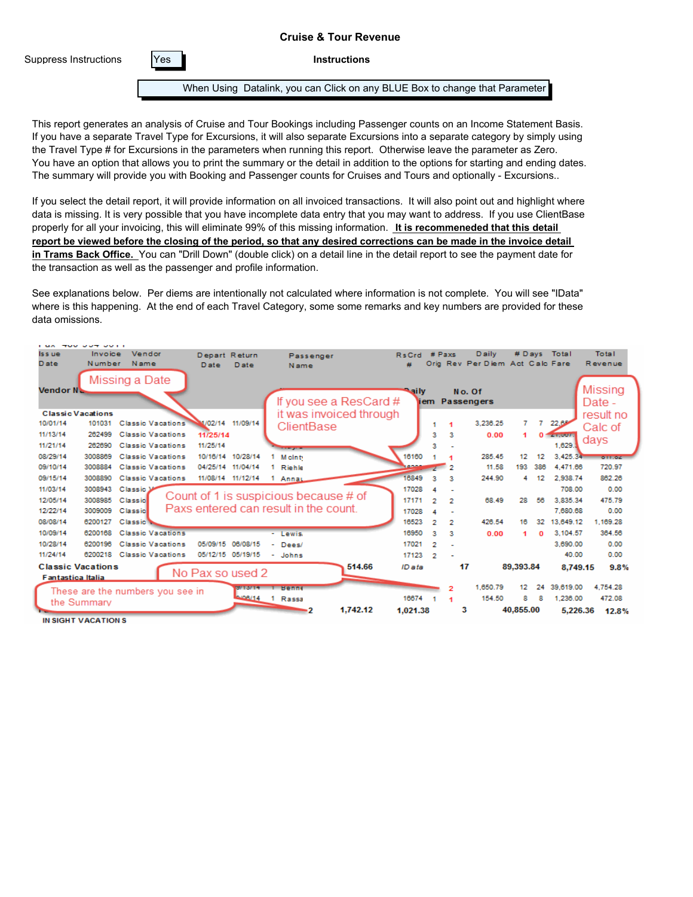Suppress Instructions | Yes

**Instructions**

When Using Datalink, you can Click on any BLUE Box to change that Parameter

This report generates an analysis of Cruise and Tour Bookings including Passenger counts on an Income Statement Basis. If you have a separate Travel Type for Excursions, it will also separate Excursions into a separate category by simply using the Travel Type # for Excursions in the parameters when running this report. Otherwise leave the parameter as Zero. You have an option that allows you to print the summary or the detail in addition to the options for starting and ending dates. The summary will provide you with Booking and Passenger counts for Cruises and Tours and optionally - Excursions..

If you select the detail report, it will provide information on all invoiced transactions. It will also point out and highlight where data is missing. It is very possible that you have incomplete data entry that you may want to address. If you use ClientBase properly for all your invoicing, this will eliminate 99% of this missing information. **It is recommeneded that this detail report be viewed before the closing of the period, so that any desired corrections can be made in the invoice detail in Trams Back Office.** You can "Drill Down" (double click) on a detail line in the detail report to see the payment date for the transaction as well as the passenger and profile information.

See explanations below. Per diems are intentionally not calculated where information is not complete. You will see "IData" where is this happening. At the end of each Travel Category, some some remarks and key numbers are provided for these data omissions.

| .                        |             |                                  |                  |                   |                                       |                         |              |        |        |                                 |           |          |                   |                |
|--------------------------|-------------|----------------------------------|------------------|-------------------|---------------------------------------|-------------------------|--------------|--------|--------|---------------------------------|-----------|----------|-------------------|----------------|
| Iss ue                   | Invoice     | Vendor                           | Depart Return    |                   | Passenger                             |                         | <b>RsCrd</b> | # Paxs |        | <b>Daily</b>                    |           |          | # Days Total      | Total          |
| <b>D</b> ate             | Number      | Name                             | <b>D</b> ate     | <b>D</b> ate      | Name                                  |                         | ₩            |        |        | Orig Rev Per Diem Act Calc Fare |           |          |                   | Revenue        |
|                          |             | Missing a Date                   |                  |                   |                                       |                         |              |        |        |                                 |           |          |                   |                |
| Vendor N <sub>o</sub>    |             |                                  |                  |                   |                                       |                         | ailv.        |        | No. Of |                                 |           |          |                   | Missing        |
|                          |             |                                  |                  |                   |                                       | If you see a ResCard #  |              |        |        | iem Passengers                  |           |          |                   | Date -         |
| <b>Classic Vacations</b> |             |                                  |                  |                   |                                       | it was invoiced through |              |        |        |                                 |           |          |                   | result no      |
| 10/01/14                 | 101031      | <b>Classic Vacations</b>         |                  | 11/02/14 11/09/14 | ClientBase                            |                         |              |        |        | 3.236.25                        |           |          | 22.69             | Calc of        |
| 11/13/14                 | 262499      | <b>Classic Vacations</b>         | 11/25/14         |                   |                                       |                         |              | з      | з      | 0.00                            |           |          | <b>CONTRACTOR</b> |                |
| 11/21/14                 | 262690      | <b>Classic Vacations</b>         | 11/25/14         |                   |                                       |                         |              |        |        |                                 |           |          | 1.629.            | days           |
| 08/29/14                 | 3008869     | <b>Classic Vacations</b>         |                  | 10/16/14 10/28/14 | <b>M</b> clnb                         |                         | 16160        |        |        | 285.45                          | 12        | 12       | 3.425.34          | <b>offices</b> |
| 09/10/14                 | 3008884     | <b>Classic Vacations</b>         |                  | 04/25/14 11/04/14 | Riehle                                |                         | هجور         |        | 2      | 11.58                           | 193       | 386      | 4.471.66          | 720.97         |
| 09/15/14                 | 3008890     | <b>Classic Vacations</b>         |                  | 11/08/14 11/12/14 | Annay                                 |                         | 16849        | я      | з      | 244.90                          | 4         | 12       | 2.938.74          | 862.26         |
| 11/03/14                 | 3008943     | <b>Classic M</b>                 |                  |                   |                                       |                         | 17028        |        |        |                                 |           |          | 708.00            | 0.00           |
| 12/05/14                 | 3008985     | Classic                          |                  |                   | Count of 1 is suspicious because # of |                         | 17171        | 2      | 2      | 68.49                           | 28        | 56       | 3.835.34          | 475.79         |
| 12/22/14                 | 3009009     | Classic                          |                  |                   | Paxs entered can result in the count. |                         | 17028        |        |        |                                 |           |          | 7,680.68          | 0.00           |
| 08/08/14                 | 6200127     | <b>Classic</b>                   |                  |                   |                                       |                         | 16523        | 2      | 2      | 426.54                          | 16        | 32       | 13,649.12         | 1.169.28       |
| 10/09/14                 | 6200168     | <b>Classic Vacations</b>         |                  |                   | - Lewis                               |                         | 16950        | а      | а      | 0.00                            | 4         | $\Omega$ | 3.104.57          | 364.56         |
| 10/28/14                 | 6200196     | <b>Classic Vacations</b>         |                  | 05/09/15 06/08/15 | - Dees/                               |                         | 17021        | 2      |        |                                 |           |          | 3.690.00          | 0.00           |
| 11/24/14                 |             | 6200218 Classic Vacations        |                  | 05/12/15 05/19/15 | - Johns                               |                         | 17123        | 2      |        |                                 |           |          | 40.00             | 0.00           |
| <b>Classic Vacations</b> |             |                                  |                  |                   |                                       | 514.66                  | ID ata       |        | 17     |                                 | 89,393.84 |          | 8,749.15          | 9.8%           |
| <b>Fantastica Italia</b> |             |                                  | No Pax so used 2 |                   |                                       |                         |              |        |        |                                 |           |          |                   |                |
|                          |             | These are the numbers you see in |                  | 9711371141        | Benne                                 |                         |              |        | 2      | 1.650.79                        | 12        | 24       | 39,619.00         | 4.754.28       |
|                          | the Summary |                                  |                  |                   | <b>AMB/14 1 Rassa</b>                 |                         | 16674        |        |        | 154.50                          | 8         | 8        | 1,236.00          | 472.08         |
|                          |             |                                  |                  |                   |                                       | 1,742.12                | 1,021.38     |        | з      |                                 | 40,855.00 |          | 5,226.36          | 12.8%          |
| IN SIGHT VACATION S      |             |                                  |                  |                   |                                       |                         |              |        |        |                                 |           |          |                   |                |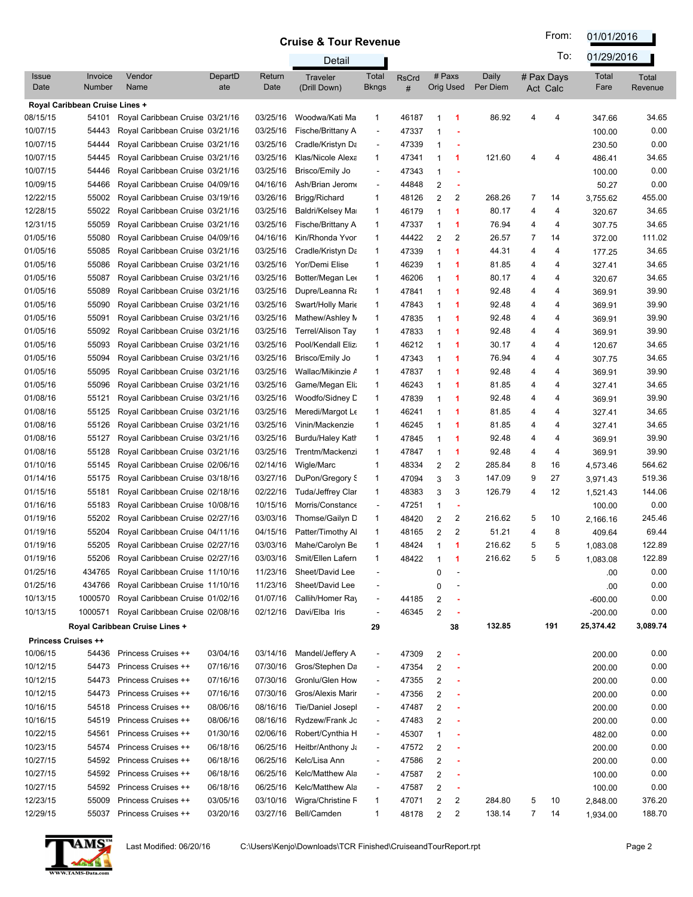From: 01/01/2016

|                            |                                |                                                                    |                |                      | Detail                              |                          |                   |                         |           |                   |        | To:                    | 01/29/2016           |                  |
|----------------------------|--------------------------------|--------------------------------------------------------------------|----------------|----------------------|-------------------------------------|--------------------------|-------------------|-------------------------|-----------|-------------------|--------|------------------------|----------------------|------------------|
| <b>Issue</b><br>Date       | Invoice<br>Number              | Vendor<br>Name                                                     | DepartD<br>ate | Return<br>Date       | Traveler<br>(Drill Down)            | Total<br>Bkngs           | <b>RsCrd</b><br># | # Paxs                  | Orig Used | Daily<br>Per Diem |        | # Pax Days<br>Act Calc | Total<br>Fare        | Total<br>Revenue |
|                            | Royal Caribbean Cruise Lines + |                                                                    |                |                      |                                     |                          |                   |                         |           |                   |        |                        |                      |                  |
| 08/15/15                   | 54101                          | Royal Caribbean Cruise 03/21/16                                    |                | 03/25/16             | Woodwa/Kati Ma                      | 1                        | 46187             |                         | -1        | 86.92             | 4      | 4                      | 347.66               | 34.65            |
| 10/07/15                   | 54443                          | Royal Caribbean Cruise 03/21/16                                    |                | 03/25/16             | Fische/Brittany A                   |                          | 47337             |                         |           |                   |        |                        | 100.00               | 0.00             |
| 10/07/15                   | 54444                          | Royal Caribbean Cruise 03/21/16                                    |                | 03/25/16             | Cradle/Kristyn Da                   |                          | 47339             | 1                       |           |                   |        |                        | 230.50               | 0.00             |
| 10/07/15                   | 54445                          | Royal Caribbean Cruise 03/21/16                                    |                | 03/25/16             | Klas/Nicole Alexa                   | 1                        | 47341             | 1                       | -1        | 121.60            | 4      | 4                      | 486.41               | 34.65            |
| 10/07/15                   | 54446                          | Royal Caribbean Cruise 03/21/16                                    |                | 03/25/16             | Brisco/Emily Jo                     | $\overline{\phantom{a}}$ | 47343             | 1                       |           |                   |        |                        | 100.00               | 0.00             |
| 10/09/15                   | 54466                          | Royal Caribbean Cruise 04/09/16                                    |                | 04/16/16             | Ash/Brian Jerom                     | $\overline{\phantom{a}}$ | 44848             | 2                       | ÷         |                   |        |                        | 50.27                | 0.00             |
| 12/22/15                   | 55002                          | Royal Caribbean Cruise 03/19/16                                    |                | 03/26/16             | Brigg/Richard                       | 1                        | 48126             | 2                       | 2         | 268.26            | 7      | 14                     | 3,755.62             | 455.00           |
| 12/28/15                   | 55022                          | Royal Caribbean Cruise 03/21/16                                    |                | 03/25/16             | Baldri/Kelsey Ma                    | 1                        | 46179             | -1                      | 1         | 80.17             | 4      | 4                      | 320.67               | 34.65            |
| 12/31/15                   | 55059                          | Royal Caribbean Cruise 03/21/16                                    |                | 03/25/16             | Fische/Brittany A                   | 1                        | 47337             | 1                       | 1         | 76.94             | 4      | 4                      | 307.75               | 34.65            |
| 01/05/16                   | 55080                          | Royal Caribbean Cruise 04/09/16                                    |                | 04/16/16             | Kin/Rhonda Yvor                     | 1                        | 44422             | 2                       | 2         | 26.57             | 7      | 14                     | 372.00               | 111.02           |
| 01/05/16                   | 55085                          | Royal Caribbean Cruise 03/21/16                                    |                | 03/25/16             | Cradle/Kristyn Da                   | 1                        | 47339             | 1                       | 1         | 44.31             | 4      | 4                      | 177.25               | 34.65            |
| 01/05/16                   | 55086                          | Royal Caribbean Cruise 03/21/16                                    |                | 03/25/16             | Yor/Demi Elise                      | 1                        | 46239             | -1                      | 1         | 81.85             | 4      | 4                      | 327.41               | 34.65            |
| 01/05/16                   | 55087                          | Royal Caribbean Cruise 03/21/16                                    |                | 03/25/16             | Botter/Megan Lee                    | 1                        | 46206             | 1                       | 1         | 80.17             | 4      | 4                      | 320.67               | 34.65            |
| 01/05/16                   | 55089                          | Royal Caribbean Cruise 03/21/16                                    |                | 03/25/16             | Dupre/Leanna Ra                     | 1                        | 47841             | 1                       | 1         | 92.48             | 4      | 4                      | 369.91               | 39.90            |
| 01/05/16                   | 55090                          | Royal Caribbean Cruise 03/21/16                                    |                | 03/25/16             | Swart/Holly Marie                   | 1                        | 47843             | -1                      | 1         | 92.48             | 4      | 4                      | 369.91               | 39.90            |
| 01/05/16                   | 55091                          | Royal Caribbean Cruise 03/21/16                                    |                | 03/25/16             | Mathew/Ashley N                     | 1                        | 47835             | -1                      | 1         | 92.48             | 4      | 4                      | 369.91               | 39.90            |
| 01/05/16                   | 55092                          | Royal Caribbean Cruise 03/21/16                                    |                | 03/25/16             | Terrel/Alison Tay                   | 1                        | 47833             | 1                       | 1         | 92.48             | 4      | 4                      | 369.91               | 39.90            |
| 01/05/16                   | 55093                          | Royal Caribbean Cruise 03/21/16                                    |                | 03/25/16             | Pool/Kendall Eliz                   | 1                        | 46212             | -1                      | 1         | 30.17             | 4      | 4                      | 120.67               | 34.65            |
| 01/05/16                   | 55094                          | Royal Caribbean Cruise 03/21/16                                    |                | 03/25/16             | Brisco/Emily Jo                     | 1                        | 47343             | 1                       | 1         | 76.94             | 4      | 4                      | 307.75               | 34.65            |
| 01/05/16                   | 55095                          | Royal Caribbean Cruise 03/21/16                                    |                | 03/25/16             | Wallac/Mikinzie A                   | 1                        | 47837             | 1                       | 1         | 92.48             | 4      | 4                      | 369.91               | 39.90            |
| 01/05/16                   | 55096                          | Royal Caribbean Cruise 03/21/16                                    |                | 03/25/16             | Game/Megan Eli:                     | 1                        | 46243             | 1                       | 1         | 81.85             | 4      | 4                      | 327.41               | 34.65<br>39.90   |
| 01/08/16                   | 55121                          | Royal Caribbean Cruise 03/21/16                                    |                | 03/25/16             | Woodfo/Sidney D                     | 1                        | 47839             | 1                       | 1         | 92.48             | 4      | 4                      | 369.91               | 34.65            |
| 01/08/16<br>01/08/16       | 55125<br>55126                 | Royal Caribbean Cruise 03/21/16<br>Royal Caribbean Cruise 03/21/16 |                | 03/25/16<br>03/25/16 | Meredi/Margot Le<br>Vinin/Mackenzie | 1<br>1                   | 46241             | 1<br>1                  | 1<br>1    | 81.85<br>81.85    | 4<br>4 | 4<br>4                 | 327.41               | 34.65            |
| 01/08/16                   | 55127                          | Royal Caribbean Cruise 03/21/16                                    |                | 03/25/16             | Burdu/Haley Kath                    | $\mathbf{1}$             | 46245<br>47845    |                         | 1         | 92.48             | 4      | 4                      | 327.41               | 39.90            |
| 01/08/16                   | 55128                          | Royal Caribbean Cruise 03/21/16                                    |                | 03/25/16             | Trentm/Mackenzi                     | $\mathbf{1}$             | 47847             | 1                       | 1         | 92.48             | 4      | 4                      | 369.91               | 39.90            |
| 01/10/16                   | 55145                          | Royal Caribbean Cruise 02/06/16                                    |                | 02/14/16             | Wigle/Marc                          | $\mathbf{1}$             | 48334             | 2                       | 2         | 285.84            | 8      | 16                     | 369.91               | 564.62           |
| 01/14/16                   | 55175                          | Royal Caribbean Cruise 03/18/16                                    |                | 03/27/16             | DuPon/Gregory S                     | 1                        | 47094             | 3                       | 3         | 147.09            | 9      | 27                     | 4,573.46<br>3,971.43 | 519.36           |
| 01/15/16                   | 55181                          | Royal Caribbean Cruise 02/18/16                                    |                | 02/22/16             | Tuda/Jeffrey Clar                   | 1                        | 48383             | 3                       | 3         | 126.79            | 4      | 12                     | 1,521.43             | 144.06           |
| 01/16/16                   | 55183                          | Royal Caribbean Cruise 10/08/16                                    |                | 10/15/16             | Morris/Constance                    | $\overline{\phantom{a}}$ | 47251             | -1                      | ÷         |                   |        |                        | 100.00               | 0.00             |
| 01/19/16                   | 55202                          | Royal Caribbean Cruise 02/27/16                                    |                | 03/03/16             | Thomse/Gailyn D                     | 1                        | 48420             | 2                       | 2         | 216.62            | 5      | 10                     | 2,166.16             | 245.46           |
| 01/19/16                   | 55204                          | Royal Caribbean Cruise 04/11/16                                    |                | 04/15/16             | Patter/Timothy Al                   | $\mathbf{1}$             | 48165             | 2                       | 2         | 51.21             | 4      | 8                      | 409.64               | 69.44            |
| 01/19/16                   | 55205                          | Royal Caribbean Cruise 02/27/16                                    |                | 03/03/16             | Mahe/Carolyn Be                     | $\mathbf{1}$             | 48424             | 1                       | 1         | 216.62            | 5      | 5                      | 1,083.08             | 122.89           |
| 01/19/16                   | 55206                          | Royal Caribbean Cruise 02/27/16                                    |                |                      | 03/03/16 Smit/Ellen Lafern          | 1                        | 48422             |                         |           | 216.62            |        |                        | 1,083.08             | 122.89           |
| 01/25/16                   | 434765                         | Royal Caribbean Cruise 11/10/16                                    |                | 11/23/16             | Sheet/David Lee                     |                          |                   | 0                       |           |                   |        |                        | .00                  | 0.00             |
| 01/25/16                   | 434766                         | Royal Caribbean Cruise 11/10/16                                    |                | 11/23/16             | Sheet/David Lee                     |                          |                   | 0                       |           |                   |        |                        | .00                  | 0.00             |
| 10/13/15                   | 1000570                        | Royal Caribbean Cruise 01/02/16                                    |                | 01/07/16             | Callih/Homer Ray                    | $\overline{\phantom{a}}$ | 44185             | $\overline{\mathbf{c}}$ |           |                   |        |                        | $-600.00$            | 0.00             |
| 10/13/15                   | 1000571                        | Royal Caribbean Cruise 02/08/16                                    |                | 02/12/16             | Davi/Elba Iris                      | $\blacksquare$           | 46345             | $\overline{c}$          |           |                   |        |                        | $-200.00$            | 0.00             |
|                            |                                | Royal Caribbean Cruise Lines +                                     |                |                      |                                     | 29                       |                   |                         | 38        | 132.85            |        | 191                    | 25,374.42            | 3,089.74         |
| <b>Princess Cruises ++</b> |                                |                                                                    |                |                      |                                     |                          |                   |                         |           |                   |        |                        |                      |                  |
| 10/06/15                   | 54436                          | Princess Cruises ++                                                | 03/04/16       | 03/14/16             | Mandel/Jeffery A                    |                          | 47309             | $\overline{c}$          |           |                   |        |                        | 200.00               | 0.00             |
| 10/12/15                   | 54473                          | Princess Cruises ++                                                | 07/16/16       | 07/30/16             | Gros/Stephen Da                     | $\overline{\phantom{a}}$ | 47354             | $\overline{2}$          | ×         |                   |        |                        | 200.00               | 0.00             |
| 10/12/15                   | 54473                          | Princess Cruises ++                                                | 07/16/16       | 07/30/16             | Gronlu/Glen How                     | $\overline{\phantom{a}}$ | 47355             | 2                       | ×         |                   |        |                        | 200.00               | 0.00             |
| 10/12/15                   | 54473                          | Princess Cruises ++                                                | 07/16/16       | 07/30/16             | Gros/Alexis Marir                   | $\overline{\phantom{a}}$ | 47356             | 2                       |           |                   |        |                        | 200.00               | 0.00             |
| 10/16/15                   | 54518                          | Princess Cruises ++                                                | 08/06/16       | 08/16/16             | <b>Tie/Daniel Josepl</b>            | $\overline{\phantom{a}}$ | 47487             | 2                       |           |                   |        |                        | 200.00               | 0.00             |
| 10/16/15                   | 54519                          | Princess Cruises ++                                                | 08/06/16       | 08/16/16             | Rydzew/Frank Jc                     | $\overline{\phantom{a}}$ | 47483             | $\overline{2}$          |           |                   |        |                        | 200.00               | 0.00             |
| 10/22/15                   | 54561                          | Princess Cruises ++                                                | 01/30/16       | 02/06/16             | Robert/Cynthia H                    | $\overline{\phantom{a}}$ | 45307             | 1                       |           |                   |        |                        | 482.00               | 0.00             |
| 10/23/15                   | 54574                          | Princess Cruises ++                                                | 06/18/16       | 06/25/16             | Heitbr/Anthony Ja                   | $\overline{\phantom{a}}$ | 47572             | $\overline{c}$          |           |                   |        |                        | 200.00               | 0.00             |
| 10/27/15                   | 54592                          | Princess Cruises ++                                                | 06/18/16       | 06/25/16             | Kelc/Lisa Ann                       | $\overline{\phantom{a}}$ | 47586             | $\overline{c}$          |           |                   |        |                        | 200.00               | 0.00             |
| 10/27/15                   | 54592                          | Princess Cruises ++                                                | 06/18/16       | 06/25/16             | Kelc/Matthew Ala                    |                          | 47587             | $\overline{2}$          |           |                   |        |                        | 100.00               | 0.00             |
| 10/27/15                   | 54592                          | Princess Cruises ++                                                | 06/18/16       | 06/25/16             | Kelc/Matthew Ala                    | $\overline{\phantom{a}}$ | 47587             | 2                       | ٠         |                   |        |                        | 100.00               | 0.00             |
| 12/23/15                   | 55009                          | Princess Cruises ++                                                | 03/05/16       | 03/10/16             | Wigra/Christine F                   | 1                        | 47071             | 2                       | 2         | 284.80            | 5      | 10                     | 2,848.00             | 376.20           |
| 12/29/15                   | 55037                          | Princess Cruises ++                                                | 03/20/16       | 03/27/16             | Bell/Camden                         | 1                        | 48178             | 2                       | 2         | 138.14            | 7      | 14                     | 1,934.00             | 188.70           |

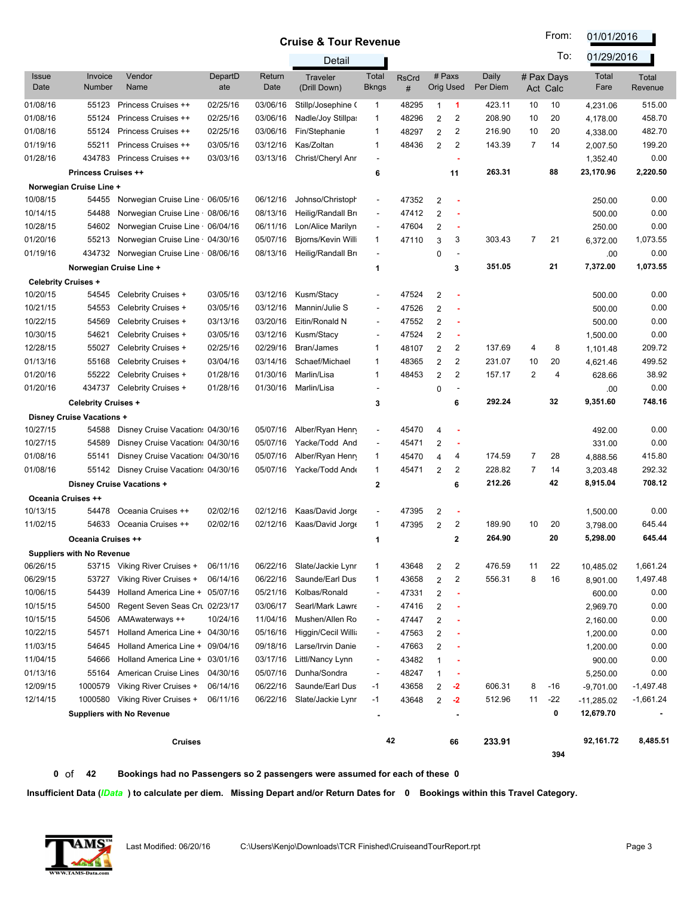From: 01/01/2016

 $\overline{\phantom{a}}$ 

|                      |                                  |                                  |                |                | Detail                          |                          |                   |                            |                          |                   |                | To:                    | 01/29/2016    |                         |
|----------------------|----------------------------------|----------------------------------|----------------|----------------|---------------------------------|--------------------------|-------------------|----------------------------|--------------------------|-------------------|----------------|------------------------|---------------|-------------------------|
| <b>Issue</b><br>Date | Invoice<br>Number                | Vendor<br>Name                   | DepartD<br>ate | Return<br>Date | <b>Traveler</b><br>(Drill Down) | Total<br><b>Bkngs</b>    | <b>RsCrd</b><br># | # Paxs<br><b>Orig Used</b> |                          | Daily<br>Per Diem |                | # Pax Days<br>Act Calc | Total<br>Fare | <b>Total</b><br>Revenue |
| 01/08/16             | 55123                            | Princess Cruises ++              | 02/25/16       | 03/06/16       | Stillp/Josephine (              | $\mathbf{1}$             | 48295             | $\mathbf{1}$               | 1                        | 423.11            | 10             | 10                     | 4,231.06      | 515.00                  |
| 01/08/16             | 55124                            | Princess Cruises ++              | 02/25/16       | 03/06/16       | Nadle/Joy Stillpa:              | $\mathbf{1}$             | 48296             | $\overline{2}$             | 2                        | 208.90            | 10             | 20                     | 4,178.00      | 458.70                  |
| 01/08/16             | 55124                            | Princess Cruises ++              | 02/25/16       | 03/06/16       | Fin/Stephanie                   | $\mathbf{1}$             | 48297             | $\overline{2}$             | 2                        | 216.90            | 10             | 20                     | 4,338.00      | 482.70                  |
| 01/19/16             | 55211                            | Princess Cruises ++              | 03/05/16       | 03/12/16       | Kas/Zoltan                      | $\mathbf{1}$             | 48436             | $\overline{2}$             | 2                        | 143.39            | 7              | 14                     | 2,007.50      | 199.20                  |
| 01/28/16             | 434783                           | Princess Cruises ++              | 03/03/16       | 03/13/16       | Christ/Cheryl Anr               | $\blacksquare$           |                   |                            | ٠                        |                   |                |                        | 1,352.40      | 0.00                    |
|                      | <b>Princess Cruises ++</b>       |                                  |                |                |                                 | 6                        |                   |                            | 11                       | 263.31            |                | 88                     | 23,170.96     | 2,220.50                |
|                      | Norwegian Cruise Line +          |                                  |                |                |                                 |                          |                   |                            |                          |                   |                |                        |               |                         |
| 10/08/15             | 54455                            | Norwegian Cruise Line 06/05/16   |                | 06/12/16       | Johnso/Christoph                |                          | 47352             | 2                          |                          |                   |                |                        | 250.00        | 0.00                    |
| 10/14/15             | 54488                            | Norwegian Cruise Line 08/06/16   |                | 08/13/16       | Heilig/Randall Bri              | $\overline{\phantom{a}}$ | 47412             | $\overline{2}$             |                          |                   |                |                        | 500.00        | 0.00                    |
| 10/28/15             | 54602                            | Norwegian Cruise Line 06/04/16   |                | 06/11/16       | Lon/Alice Marilyn               | $\blacksquare$           | 47604             | $\overline{2}$             | ٠                        |                   |                |                        | 250.00        | 0.00                    |
| 01/20/16             | 55213                            | Norwegian Cruise Line 04/30/16   |                | 05/07/16       | Bjorns/Kevin Willi              | 1                        | 47110             | 3                          | 3                        | 303.43            | $\overline{7}$ | 21                     | 6,372.00      | 1,073.55                |
| 01/19/16             | 434732                           | Norwegian Cruise Line 08/06/16   |                | 08/13/16       | Heilig/Randall Bri              | $\sim$                   |                   | 0                          | $\blacksquare$           |                   |                |                        | .00           | 0.00                    |
|                      | Norwegian Cruise Line +          |                                  |                |                |                                 | 1                        |                   |                            | 3                        | 351.05            |                | 21                     | 7,372.00      | 1,073.55                |
|                      | <b>Celebrity Cruises +</b>       |                                  |                |                |                                 |                          |                   |                            |                          |                   |                |                        |               |                         |
| 10/20/15             | 54545                            | Celebrity Cruises +              | 03/05/16       | 03/12/16       | Kusm/Stacy                      | $\overline{\phantom{a}}$ | 47524             | 2                          |                          |                   |                |                        | 500.00        | 0.00                    |
| 10/21/15             | 54553                            | Celebrity Cruises +              | 03/05/16       | 03/12/16       | Mannin/Julie S                  | $\blacksquare$           | 47526             | $\overline{2}$             |                          |                   |                |                        | 500.00        | 0.00                    |
| 10/22/15             | 54569                            | Celebrity Cruises +              | 03/13/16       | 03/20/16       | Eitin/Ronald N                  | $\overline{\phantom{a}}$ | 47552             | $\overline{2}$             |                          |                   |                |                        | 500.00        | 0.00                    |
| 10/30/15             | 54621                            | Celebrity Cruises +              | 03/05/16       | 03/12/16       | Kusm/Stacy                      | $\blacksquare$           | 47524             | $\overline{2}$             | ٠                        |                   |                |                        | 1,500.00      | 0.00                    |
| 12/28/15             | 55027                            | Celebrity Cruises +              | 02/25/16       | 02/29/16       | Bran/James                      | 1                        | 48107             | 2                          | 2                        | 137.69            | 4              | 8                      | 1,101.48      | 209.72                  |
| 01/13/16             | 55168                            | Celebrity Cruises +              | 03/04/16       | 03/14/16       | Schaef/Michael                  | $\mathbf{1}$             | 48365             | 2                          | 2                        | 231.07            | 10             | 20                     | 4,621.46      | 499.52                  |
| 01/20/16             | 55222                            | Celebrity Cruises +              | 01/28/16       | 01/30/16       | Marlin/Lisa                     | $\mathbf{1}$             | 48453             | $\overline{2}$             | 2                        | 157.17            | $\overline{c}$ | 4                      | 628.66        | 38.92                   |
| 01/20/16             | 434737                           | Celebrity Cruises +              | 01/28/16       | 01/30/16       | Marlin/Lisa                     |                          |                   | 0                          | $\overline{\phantom{a}}$ |                   |                |                        | .00           | 0.00                    |
|                      | <b>Celebrity Cruises +</b>       |                                  |                |                |                                 | 3                        |                   |                            | 6                        | 292.24            |                | 32                     | 9,351.60      | 748.16                  |
|                      | Disney Cruise Vacations +        |                                  |                |                |                                 |                          |                   |                            |                          |                   |                |                        |               |                         |
| 10/27/15             | 54588                            | Disney Cruise Vacation: 04/30/16 |                | 05/07/16       | Alber/Ryan Henry                | $\overline{\phantom{a}}$ | 45470             | 4                          | ٠                        |                   |                |                        | 492.00        | 0.00                    |
| 10/27/15             | 54589                            | Disney Cruise Vacation: 04/30/16 |                | 05/07/16       | Yacke/Todd And                  | $\overline{\phantom{a}}$ | 45471             | 2                          | ٠                        |                   |                |                        | 331.00        | 0.00                    |
| 01/08/16             | 55141                            | Disney Cruise Vacation: 04/30/16 |                | 05/07/16       | Alber/Ryan Henry                | $\mathbf{1}$             | 45470             | 4                          | 4                        | 174.59            | $\overline{7}$ | 28                     | 4,888.56      | 415.80                  |
| 01/08/16             | 55142                            | Disney Cruise Vacation: 04/30/16 |                | 05/07/16       | Yacke/Todd And                  | $\mathbf{1}$             | 45471             | $\overline{2}$             | 2                        | 228.82            | 7              | 14                     | 3,203.48      | 292.32                  |
|                      |                                  | Disney Cruise Vacations +        |                |                |                                 | $\mathbf{2}$             |                   |                            | 6                        | 212.26            |                | 42                     | 8,915.04      | 708.12                  |
|                      | Oceania Cruises ++               |                                  |                |                |                                 |                          |                   |                            |                          |                   |                |                        |               |                         |
| 10/13/15             | 54478                            | Oceania Cruises ++               | 02/02/16       | 02/12/16       | Kaas/David Jorg                 | $\overline{\phantom{a}}$ | 47395             | 2                          | ٠                        |                   |                |                        | 1,500.00      | 0.00                    |
| 11/02/15             | 54633                            | Oceania Cruises ++               | 02/02/16       | 02/12/16       | Kaas/David Jorgo                | $\mathbf{1}$             | 47395             | $\overline{2}$             | 2                        | 189.90            | 10             | 20                     | 3,798.00      | 645.44                  |
|                      | Oceania Cruises ++               |                                  |                |                |                                 | 1                        |                   |                            | $\mathbf{2}$             | 264.90            |                | 20                     | 5,298.00      | 645.44                  |
|                      | <b>Suppliers with No Revenue</b> |                                  |                |                |                                 |                          |                   |                            |                          |                   |                |                        |               |                         |
| 06/26/15             | 53715                            | Viking River Cruises +           | 06/11/16       | 06/22/16       | Slate/Jackie Lynr               | $\mathbf{1}$             | 43648             | 2                          | 2                        | 476.59            | 11             | 22                     | 10,485.02     | 1,661.24                |
| 06/29/15             | 53727                            | Viking River Cruises +           | 06/14/16       | 06/22/16       | Saunde/Earl Dus                 | $\mathbf{1}$             | 43658             | $\overline{\mathbf{c}}$    | 2                        | 556.31            | 8              | 16                     | 8,901.00      | 1,497.48                |
| 10/06/15             | 54439                            | Holland America Line + 05/07/16  |                | 05/21/16       | Kolbas/Ronald                   | $\overline{\phantom{a}}$ | 47331             | 2                          | ٠                        |                   |                |                        | 600.00        | 0.00                    |
| 10/15/15             | 54500                            | Regent Seven Seas Cru 02/23/17   |                | 03/06/17       | Searl/Mark Lawre                | $\overline{\phantom{a}}$ | 47416             | 2                          | ٠                        |                   |                |                        | 2,969.70      | 0.00                    |
| 10/15/15             | 54506                            | AMAwaterways ++                  | 10/24/16       | 11/04/16       | Mushen/Allen Ro                 | $\overline{\phantom{a}}$ | 47447             | 2                          |                          |                   |                |                        | 2,160.00      | 0.00                    |
| 10/22/15             | 54571                            | Holland America Line + 04/30/16  |                | 05/16/16       | Higgin/Cecil Willia             | $\overline{\phantom{a}}$ | 47563             | 2                          |                          |                   |                |                        | 1,200.00      | 0.00                    |
| 11/03/15             | 54645                            | Holland America Line + 09/04/16  |                | 09/18/16       | Larse/Irvin Danie               | $\overline{\phantom{a}}$ | 47663             | 2                          |                          |                   |                |                        | 1,200.00      | 0.00                    |
| 11/04/15             | 54666                            | Holland America Line + 03/01/16  |                | 03/17/16       | Littl/Nancy Lynn                | $\overline{\phantom{a}}$ | 43482             | 1                          |                          |                   |                |                        | 900.00        | 0.00                    |
| 01/13/16             | 55164                            | American Cruise Lines            | 04/30/16       | 05/07/16       | Dunha/Sondra                    |                          | 48247             | 1                          |                          |                   |                |                        | 5,250.00      | 0.00                    |
| 12/09/15             | 1000579                          | Viking River Cruises +           | 06/14/16       | 06/22/16       | Saunde/Earl Dus                 | $-1$                     | 43658             | 2                          | $-2$                     | 606.31            | 8              | -16                    | $-9,701.00$   | -1,497.48               |
| 12/14/15             | 1000580                          | Viking River Cruises +           | 06/11/16       | 06/22/16       | Slate/Jackie Lynr               | $-1$                     | 43648             | $\overline{\mathbf{c}}$    | $-2$                     | 512.96            | 11             | $-22$                  | $-11,285.02$  | $-1,661.24$             |
|                      |                                  | <b>Suppliers with No Revenue</b> |                |                |                                 |                          |                   |                            |                          |                   |                | 0                      | 12,679.70     |                         |
|                      |                                  |                                  |                |                |                                 |                          |                   |                            |                          |                   |                |                        |               |                         |
|                      |                                  | <b>Cruises</b>                   |                |                |                                 | 42                       |                   |                            | 66                       | 233.91            |                | 394                    | 92,161.72     | 8,485.51                |
|                      |                                  |                                  |                |                |                                 |                          |                   |                            |                          |                   |                |                        |               |                         |

 **0** of **42 Bookings had no Passengers so 2 passengers were assumed for each of these 0**

**Insufficient Data (***IData* **) to calculate per diem. Missing Depart and/or Return Dates for 0 Bookings within this Travel Category.** 

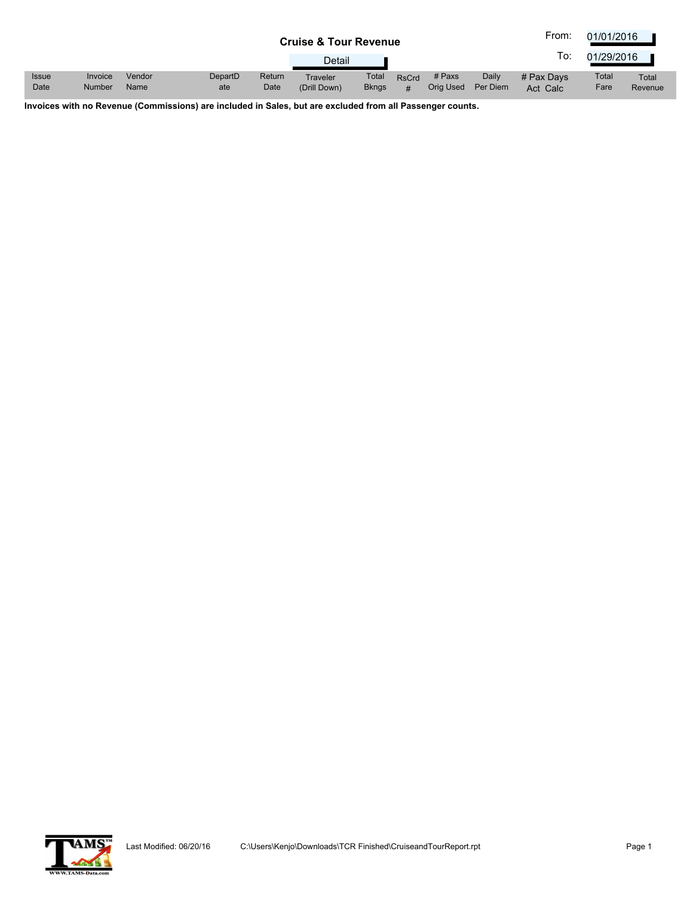|                      |                          |                |                |                | <b>Cruise &amp; Tour Revenue</b> |                       |                   |                     |                   | From:                  | 01/01/2016    |                  |
|----------------------|--------------------------|----------------|----------------|----------------|----------------------------------|-----------------------|-------------------|---------------------|-------------------|------------------------|---------------|------------------|
|                      |                          |                |                |                | Detail                           |                       |                   |                     |                   | lo:                    | 01/29/2016    |                  |
| <b>Issue</b><br>Date | Invoice<br><b>Number</b> | Vendor<br>Name | DepartD<br>ate | Return<br>Date | Traveler<br>(Drill Down)         | Total<br><b>Bkngs</b> | <b>RsCrd</b><br># | # Paxs<br>Orig Used | Daily<br>Per Diem | # Pax Davs<br>Act Calc | Total<br>Fare | Total<br>Revenue |

**Invoices with no Revenue (Commissions) are included in Sales, but are excluded from all Passenger counts.**

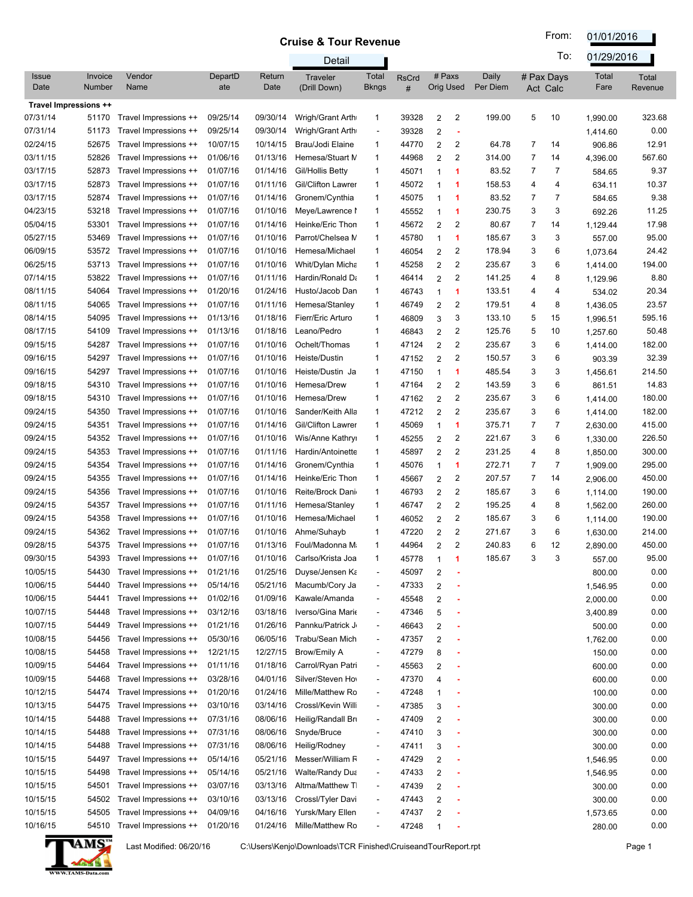From: 01/01/2016

|                       |                   |                                                |                      |                      | Detail                               |                                                      |                   |                                  |                   |        | To:                    | 01/29/2016         |                  |
|-----------------------|-------------------|------------------------------------------------|----------------------|----------------------|--------------------------------------|------------------------------------------------------|-------------------|----------------------------------|-------------------|--------|------------------------|--------------------|------------------|
| <b>Issue</b><br>Date  | Invoice<br>Number | Vendor<br>Name                                 | DepartD<br>ate       | Return<br>Date       | Traveler<br>(Drill Down)             | Total<br>Bkngs                                       | <b>RsCrd</b><br># | # Paxs<br><b>Orig Used</b>       | Daily<br>Per Diem |        | # Pax Days<br>Act Calc | Total<br>Fare      | Total<br>Revenue |
| Travel Impressions ++ |                   |                                                |                      |                      |                                      |                                                      |                   |                                  |                   |        |                        |                    |                  |
| 07/31/14              | 51170             | Travel Impressions ++                          | 09/25/14             | 09/30/14             | Wrigh/Grant Arth                     | 1                                                    | 39328             | $\overline{2}$<br>2              | 199.00            | 5      | 10                     | 1,990.00           | 323.68           |
| 07/31/14              | 51173             | Travel Impressions ++                          | 09/25/14             | 09/30/14             | Wrigh/Grant Arth                     | $\overline{\phantom{a}}$                             | 39328             | $\overline{2}$                   |                   |        |                        | 1,414.60           | 0.00             |
| 02/24/15              | 52675             | Travel Impressions ++                          | 10/07/15             | 10/14/15             | Brau/Jodi Elaine                     | 1                                                    | 44770             | 2<br>$\overline{2}$              | 64.78             | 7      | 14                     | 906.86             | 12.91            |
| 03/11/15              | 52826             | Travel Impressions ++                          | 01/06/16             | 01/13/16             | Hemesa/Stuart M                      | 1                                                    | 44968             | $\overline{2}$<br>2              | 314.00            | 7      | 14                     | 4,396.00           | 567.60           |
| 03/17/15              | 52873             | Travel Impressions ++                          | 01/07/16             | 01/14/16             | Gil/Hollis Betty                     | 1                                                    | 45071             | 1<br>1                           | 83.52             | 7      | 7                      | 584.65             | 9.37             |
| 03/17/15              | 52873             | Travel Impressions ++                          | 01/07/16             | 01/11/16             | Gil/Clifton Lawrer                   | 1                                                    | 45072             | 1<br>1                           | 158.53            | 4      | 4                      | 634.11             | 10.37            |
| 03/17/15              | 52874             | Travel Impressions ++                          | 01/07/16             | 01/14/16             | Gronem/Cynthia                       | 1                                                    | 45075             | 1<br>-1                          | 83.52             | 7      | 7                      | 584.65             | 9.38             |
| 04/23/15              | 53218             | Travel Impressions ++                          | 01/07/16             | 01/10/16             | Meye/Lawrence I                      | 1                                                    | 45552             | 1<br>-1                          | 230.75            | 3      | 3                      | 692.26             | 11.25            |
| 05/04/15              | 53301             | Travel Impressions ++                          | 01/07/16             | 01/14/16             | Heinke/Eric Thon                     | 1                                                    | 45672             | $\overline{c}$<br>$\overline{2}$ | 80.67             | 7      | 14                     | 1,129.44           | 17.98            |
| 05/27/15              | 53469             | Travel Impressions ++                          | 01/07/16             | 01/10/16             | Parrot/Chelsea M                     | 1                                                    | 45780             | 1<br>1                           | 185.67            | 3      | 3                      | 557.00             | 95.00            |
| 06/09/15              | 53572             | Travel Impressions ++                          | 01/07/16             | 01/10/16             | Hemesa/Michael                       | 1                                                    | 46054             | $\overline{2}$<br>2              | 178.94            | 3      | 6                      | 1,073.64           | 24.42            |
| 06/25/15<br>07/14/15  | 53713<br>53822    | Travel Impressions ++<br>Travel Impressions ++ | 01/07/16<br>01/07/16 | 01/10/16<br>01/11/16 | Whit/Dylan Micha<br>Hardin/Ronald Da | 1<br>1                                               | 45258             | $\overline{2}$<br>2<br>2         | 235.67<br>141.25  | 3<br>4 | 6<br>8                 | 1,414.00           | 194.00<br>8.80   |
| 08/11/15              | 54064             | Travel Impressions ++                          | 01/20/16             | 01/24/16             | Husto/Jacob Dan                      | 1                                                    | 46414<br>46743    | $\overline{2}$<br>1<br>1         | 133.51            | 4      | 4                      | 1,129.96           | 20.34            |
| 08/11/15              | 54065             | Travel Impressions ++                          | 01/07/16             | 01/11/16             | Hemesa/Stanley                       | 1                                                    | 46749             | 2<br>2                           | 179.51            | 4      | 8                      | 534.02<br>1,436.05 | 23.57            |
| 08/14/15              | 54095             | Travel Impressions ++                          | 01/13/16             | 01/18/16             | Fierr/Eric Arturo                    | 1                                                    | 46809             | 3<br>3                           | 133.10            | 5      | 15                     | 1,996.51           | 595.16           |
| 08/17/15              | 54109             | Travel Impressions ++                          | 01/13/16             | 01/18/16             | Leano/Pedro                          | 1                                                    | 46843             | $\overline{c}$<br>2              | 125.76            | 5      | 10                     | 1,257.60           | 50.48            |
| 09/15/15              | 54287             | Travel Impressions ++                          | 01/07/16             | 01/10/16             | Ochelt/Thomas                        | 1                                                    | 47124             | 2<br>$\overline{2}$              | 235.67            | 3      | 6                      | 1,414.00           | 182.00           |
| 09/16/15              | 54297             | Travel Impressions ++                          | 01/07/16             | 01/10/16             | Heiste/Dustin                        | 1                                                    | 47152             | 2<br>$\overline{2}$              | 150.57            | 3      | 6                      | 903.39             | 32.39            |
| 09/16/15              | 54297             | Travel Impressions ++                          | 01/07/16             | 01/10/16             | Heiste/Dustin Ja                     | 1                                                    | 47150             | $\mathbf{1}$<br>1                | 485.54            | 3      | 3                      | 1,456.61           | 214.50           |
| 09/18/15              | 54310             | Travel Impressions ++                          | 01/07/16             | 01/10/16             | Hemesa/Drew                          | 1                                                    | 47164             | $\overline{c}$<br>$\overline{2}$ | 143.59            | 3      | 6                      | 861.51             | 14.83            |
| 09/18/15              | 54310             | Travel Impressions ++                          | 01/07/16             | 01/10/16             | Hemesa/Drew                          | 1                                                    | 47162             | $\overline{c}$<br>2              | 235.67            | 3      | 6                      | 1,414.00           | 180.00           |
| 09/24/15              | 54350             | Travel Impressions ++                          | 01/07/16             | 01/10/16             | Sander/Keith Alla                    | 1                                                    | 47212             | $\overline{c}$<br>2              | 235.67            | 3      | 6                      | 1,414.00           | 182.00           |
| 09/24/15              | 54351             | Travel Impressions ++                          | 01/07/16             | 01/14/16             | <b>Gil/Clifton Lawrer</b>            | 1                                                    | 45069             | 1<br>$\mathbf{1}$                | 375.71            | 7      | 7                      | 2,630.00           | 415.00           |
| 09/24/15              | 54352             | Travel Impressions ++                          | 01/07/16             | 01/10/16             | Wis/Anne Kathryi                     | 1                                                    | 45255             | $\overline{c}$<br>$\overline{2}$ | 221.67            | 3      | 6                      | 1,330.00           | 226.50           |
| 09/24/15              | 54353             | Travel Impressions ++                          | 01/07/16             | 01/11/16             | Hardin/Antoinette                    | 1                                                    | 45897             | $\overline{c}$<br>$\overline{2}$ | 231.25            | 4      | 8                      | 1,850.00           | 300.00           |
| 09/24/15              | 54354             | Travel Impressions ++                          | 01/07/16             | 01/14/16             | Gronem/Cynthia                       | 1                                                    | 45076             | 1<br>$\mathbf{1}$                | 272.71            | 7      | 7                      | 1,909.00           | 295.00           |
| 09/24/15              | 54355             | Travel Impressions ++                          | 01/07/16             | 01/14/16             | Heinke/Eric Thon                     | 1                                                    | 45667             | 2<br>2                           | 207.57            | 7      | 14                     | 2,906.00           | 450.00           |
| 09/24/15              | 54356             | Travel Impressions ++                          | 01/07/16             | 01/10/16             | Reite/Brock Dani                     | $\mathbf{1}$                                         | 46793             | 2<br>$\overline{2}$              | 185.67            | 3      | 6                      | 1,114.00           | 190.00           |
| 09/24/15              | 54357             | Travel Impressions ++                          | 01/07/16             | 01/11/16             | Hemesa/Stanley                       | 1                                                    | 46747             | 2<br>2                           | 195.25            | 4      | 8                      | 1,562.00           | 260.00           |
| 09/24/15              | 54358             | Travel Impressions ++                          | 01/07/16             | 01/10/16             | Hemesa/Michael                       | 1                                                    | 46052             | 2<br>2                           | 185.67            | 3      | 6                      | 1,114.00           | 190.00           |
| 09/24/15              | 54362             | Travel Impressions ++                          | 01/07/16             | 01/10/16             | Ahme/Suhayb                          | 1                                                    | 47220             | $\overline{c}$<br>2              | 271.67            | 3      | 6                      | 1,630.00           | 214.00           |
| 09/28/15              | 54375             | Travel Impressions ++                          | 01/07/16             | 01/13/16             | Foul/Madonna M                       | 1                                                    | 44964             | 2<br>$\overline{2}$              | 240.83            | 6      | 12                     | 2,890.00           | 450.00           |
| 09/30/15              |                   | 54393 Travel Impressions ++                    | 01/07/16             |                      | 01/10/16 Carlso/Krista Joa           |                                                      | 45778             |                                  | 185.67            | 3      | 3                      | 557.00             | 95.00            |
| 10/05/15              | 54430             | Travel Impressions ++                          | 01/21/16             | 01/25/16             | Duyse/Jensen Ka                      | $\overline{\phantom{a}}$                             | 45097             | $\overline{2}$                   |                   |        |                        | 800.00             | 0.00             |
| 10/06/15              | 54440             | Travel Impressions ++                          | 05/14/16             | 05/21/16             | Macumb/Cory Ja                       | -                                                    | 47333             | $\overline{\mathbf{c}}$          |                   |        |                        | 1,546.95           | 0.00             |
| 10/06/15              | 54441             | Travel Impressions ++                          | 01/02/16             | 01/09/16             | Kawale/Amanda                        | $\overline{a}$                                       | 45548             | 2                                |                   |        |                        | 2,000.00           | 0.00             |
| 10/07/15              | 54448             | Travel Impressions ++                          | 03/12/16             | 03/18/16             | Iverso/Gina Mario                    | $\overline{\phantom{a}}$                             | 47346             | 5                                |                   |        |                        | 3,400.89           | 0.00             |
| 10/07/15              | 54449             | Travel Impressions ++                          | 01/21/16             | 01/26/16             | Pannku/Patrick J                     | $\overline{\phantom{a}}$                             | 46643             | $\overline{2}$                   |                   |        |                        | 500.00             | 0.00             |
| 10/08/15              | 54456             | Travel Impressions ++                          | 05/30/16             | 06/05/16             | Trabu/Sean Mich                      | $\overline{\phantom{a}}$                             | 47357             | 2                                |                   |        |                        | 1,762.00           | 0.00             |
| 10/08/15              | 54458             | Travel Impressions ++                          | 12/21/15             | 12/27/15             | Brow/Emily A                         | $\overline{\phantom{a}}$                             | 47279             | 8                                |                   |        |                        | 150.00             | 0.00             |
| 10/09/15              | 54464             | Travel Impressions ++                          | 01/11/16             | 01/18/16             | Carrol/Ryan Patri                    | $\overline{\phantom{a}}$                             | 45563             | 2                                |                   |        |                        | 600.00             | 0.00             |
| 10/09/15              | 54468             | Travel Impressions ++                          | 03/28/16             | 04/01/16             | Silver/Steven Ho                     | $\overline{\phantom{a}}$                             | 47370             | 4                                |                   |        |                        | 600.00             | 0.00             |
| 10/12/15              | 54474             | Travel Impressions ++                          | 01/20/16             | 01/24/16             | Mille/Matthew Ro                     | $\overline{\phantom{a}}$                             | 47248             | 1                                |                   |        |                        | 100.00             | 0.00             |
| 10/13/15              | 54475             | Travel Impressions ++                          | 03/10/16             | 03/14/16             | Crossl/Kevin Willi                   | $\overline{\phantom{a}}$                             | 47385             | 3                                |                   |        |                        | 300.00             | 0.00             |
| 10/14/15              | 54488             | Travel Impressions ++                          | 07/31/16             | 08/06/16             | Heilig/Randall Bri                   | $\overline{\phantom{a}}$                             | 47409             | 2                                |                   |        |                        | 300.00             | 0.00             |
| 10/14/15<br>10/14/15  | 54488<br>54488    | Travel Impressions ++<br>Travel Impressions ++ | 07/31/16<br>07/31/16 | 08/06/16             | Snyde/Bruce                          | $\overline{\phantom{a}}$<br>$\overline{\phantom{a}}$ | 47410             | 3                                |                   |        |                        | 300.00             | 0.00             |
| 10/15/15              | 54497             | Travel Impressions ++                          | 05/14/16             | 08/06/16<br>05/21/16 | Heilig/Rodney<br>Messer/William F    | $\overline{\phantom{a}}$                             | 47411<br>47429    | 3<br>$\overline{2}$              |                   |        |                        | 300.00<br>1,546.95 | 0.00<br>0.00     |
| 10/15/15              | 54498             | Travel Impressions ++                          | 05/14/16             | 05/21/16             | <b>Walte/Randy Dua</b>               | $\overline{\phantom{a}}$                             | 47433             | $\sqrt{2}$                       |                   |        |                        | 1,546.95           | 0.00             |
| 10/15/15              | 54501             | Travel Impressions ++                          | 03/07/16             | 03/13/16             | Altma/Matthew T                      | $\overline{\phantom{a}}$                             | 47439             | $\overline{2}$                   |                   |        |                        | 300.00             | 0.00             |
| 10/15/15              | 54502             | Travel Impressions ++                          | 03/10/16             | 03/13/16             | Crossl/Tyler Davi                    | $\overline{\phantom{a}}$                             | 47443             | $\overline{\mathbf{c}}$          |                   |        |                        | 300.00             | 0.00             |
| 10/15/15              | 54505             | Travel Impressions ++                          | 04/09/16             | 04/16/16             | Yursk/Mary Ellen                     | $\overline{\phantom{a}}$                             | 47437             | $\overline{\mathbf{c}}$          |                   |        |                        | 1,573.65           | 0.00             |
| 10/16/15              | 54510             | Travel Impressions ++                          | 01/20/16             | 01/24/16             | Mille/Matthew Ro                     | $\overline{\phantom{a}}$                             | 47248             | $\mathbf{1}$                     |                   |        |                        | 280.00             | 0.00             |
|                       |                   |                                                |                      |                      |                                      |                                                      |                   |                                  |                   |        |                        |                    |                  |



Last Modified: 06/20/16 C:\Users\Kenjo\Downloads\TCR Finished\CruiseandTourReport.rpt Page 1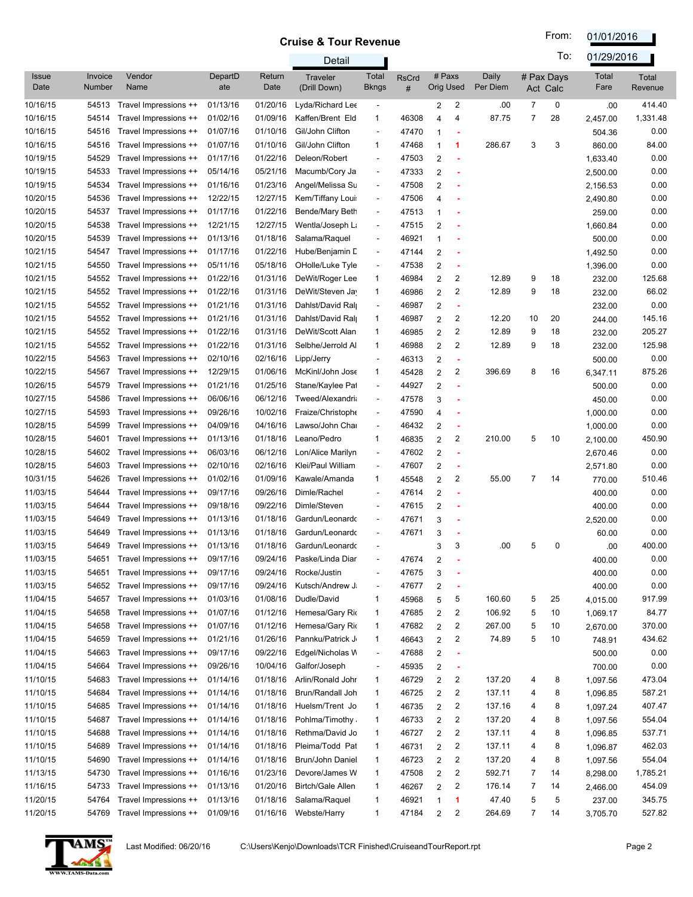From: 01/01/2016

|                      |                   |                       |                |                | Detail                   |                              |                   |                            |                         |                   |                | To:                    | 01/29/2016    |                  |
|----------------------|-------------------|-----------------------|----------------|----------------|--------------------------|------------------------------|-------------------|----------------------------|-------------------------|-------------------|----------------|------------------------|---------------|------------------|
| <b>Issue</b><br>Date | Invoice<br>Number | Vendor<br>Name        | DepartD<br>ate | Return<br>Date | Traveler<br>(Drill Down) | Total<br>Bkngs               | <b>RsCrd</b><br># | # Paxs<br><b>Orig Used</b> |                         | Daily<br>Per Diem |                | # Pax Days<br>Act Calc | Total<br>Fare | Total<br>Revenue |
| 10/16/15             | 54513             | Travel Impressions ++ | 01/13/16       | 01/20/16       | Lyda/Richard Lee         | $\overline{\phantom{a}}$     |                   | 2                          | $\overline{2}$          | .00               | $\overline{7}$ | 0                      | .00           | 414.40           |
| 10/16/15             | 54514             | Travel Impressions ++ | 01/02/16       | 01/09/16       | Kaffen/Brent Eld         | 1                            | 46308             | 4                          | 4                       | 87.75             | $\overline{7}$ | 28                     | 2,457.00      | 1,331.48         |
| 10/16/15             | 54516             | Travel Impressions ++ | 01/07/16       | 01/10/16       | Gil/John Clifton         | $\overline{\phantom{a}}$     | 47470             | 1                          |                         |                   |                |                        | 504.36        | 0.00             |
| 10/16/15             | 54516             | Travel Impressions ++ | 01/07/16       | 01/10/16       | Gil/John Clifton         | 1                            | 47468             | 1                          | 1                       | 286.67            | 3              | 3                      | 860.00        | 84.00            |
| 10/19/15             | 54529             | Travel Impressions ++ | 01/17/16       | 01/22/16       | Deleon/Robert            | $\overline{\phantom{a}}$     | 47503             | $\overline{2}$             |                         |                   |                |                        | 1,633.40      | 0.00             |
| 10/19/15             | 54533             | Travel Impressions ++ | 05/14/16       | 05/21/16       | Macumb/Cory Ja           | $\overline{\phantom{a}}$     | 47333             | $\overline{2}$             |                         |                   |                |                        | 2,500.00      | 0.00             |
| 10/19/15             | 54534             | Travel Impressions ++ | 01/16/16       | 01/23/16       | Angel/Melissa Su         | $\overline{\phantom{a}}$     | 47508             | 2                          |                         |                   |                |                        | 2,156.53      | 0.00             |
| 10/20/15             | 54536             | Travel Impressions ++ | 12/22/15       | 12/27/15       | Kem/Tiffany Loui         | $\overline{\phantom{a}}$     | 47506             | 4                          |                         |                   |                |                        | 2,490.80      | 0.00             |
| 10/20/15             | 54537             | Travel Impressions ++ | 01/17/16       | 01/22/16       | Bende/Mary Beth          | $\overline{\phantom{a}}$     | 47513             | 1                          |                         |                   |                |                        | 259.00        | 0.00             |
| 10/20/15             | 54538             | Travel Impressions ++ | 12/21/15       | 12/27/15       | Wentla/Joseph La         | $\overline{\phantom{a}}$     | 47515             | $\overline{2}$             |                         |                   |                |                        | 1,660.84      | 0.00             |
| 10/20/15             | 54539             | Travel Impressions ++ | 01/13/16       | 01/18/16       | Salama/Raquel            | $\overline{\phantom{a}}$     | 46921             | 1                          |                         |                   |                |                        | 500.00        | 0.00             |
| 10/21/15             | 54547             | Travel Impressions ++ | 01/17/16       | 01/22/16       | Hube/Benjamin D          | $\overline{\phantom{a}}$     | 47144             | 2                          |                         |                   |                |                        | 1,492.50      | 0.00             |
| 10/21/15             | 54550             | Travel Impressions ++ | 05/11/16       | 05/18/16       | OHolle/Luke Tyle         | $\overline{\phantom{a}}$     | 47538             | 2                          |                         |                   |                |                        | 1,396.00      | 0.00             |
| 10/21/15             | 54552             | Travel Impressions ++ | 01/22/16       | 01/31/16       | DeWit/Roger Lee          | 1                            | 46984             | 2                          | 2                       | 12.89             | 9              | 18                     | 232.00        | 125.68           |
| 10/21/15             | 54552             | Travel Impressions ++ | 01/22/16       | 01/31/16       | DeWit/Steven Jay         | 1                            | 46986             | 2                          | 2                       | 12.89             | 9              | 18                     | 232.00        | 66.02            |
| 10/21/15             | 54552             | Travel Impressions ++ | 01/21/16       | 01/31/16       | Dahlst/David Ral         | $\overline{\phantom{a}}$     | 46987             | 2                          |                         |                   |                |                        | 232.00        | 0.00             |
| 10/21/15             | 54552             | Travel Impressions ++ | 01/21/16       | 01/31/16       | Dahlst/David Ral         | 1                            | 46987             | 2                          | 2                       | 12.20             | 10             | 20                     | 244.00        | 145.16           |
| 10/21/15             | 54552             | Travel Impressions ++ | 01/22/16       | 01/31/16       | DeWit/Scott Alan         | 1                            | 46985             | 2                          | $\overline{2}$          | 12.89             | 9              | 18                     | 232.00        | 205.27           |
| 10/21/15             | 54552             | Travel Impressions ++ | 01/22/16       | 01/31/16       | Selbhe/Jerrold Al        | 1                            | 46988             | 2                          | 2                       | 12.89             | 9              | 18                     | 232.00        | 125.98           |
| 10/22/15             | 54563             | Travel Impressions ++ | 02/10/16       | 02/16/16       | Lipp/Jerry               | $\overline{\phantom{a}}$     | 46313             | 2                          |                         |                   |                |                        | 500.00        | 0.00             |
| 10/22/15             | 54567             | Travel Impressions ++ | 12/29/15       | 01/06/16       | McKinl/John Jose         | 1                            | 45428             | $\overline{2}$             | 2                       | 396.69            | 8              | 16                     | 6,347.11      | 875.26           |
| 10/26/15             | 54579             | Travel Impressions ++ | 01/21/16       | 01/25/16       | Stane/Kaylee Pat         | $\overline{\phantom{a}}$     | 44927             | $\overline{2}$             |                         |                   |                |                        | 500.00        | 0.00             |
| 10/27/15             | 54586             | Travel Impressions ++ | 06/06/16       | 06/12/16       | Tweed/Alexandria         | $\overline{\phantom{a}}$     | 47578             | 3                          |                         |                   |                |                        | 450.00        | 0.00             |
| 10/27/15             | 54593             | Travel Impressions ++ | 09/26/16       | 10/02/16       | Fraize/Christophe        | $\qquad \qquad \blacksquare$ | 47590             | 4                          |                         |                   |                |                        | 1,000.00      | 0.00             |
| 10/28/15             | 54599             | Travel Impressions ++ | 04/09/16       | 04/16/16       | Lawso/John Chai          | $\overline{\phantom{a}}$     | 46432             | 2                          |                         |                   |                |                        | 1,000.00      | 0.00             |
| 10/28/15             | 54601             | Travel Impressions ++ | 01/13/16       | 01/18/16       | Leano/Pedro              | 1                            | 46835             | 2                          | 2                       | 210.00            | 5              | 10                     | 2,100.00      | 450.90           |
| 10/28/15             | 54602             | Travel Impressions ++ | 06/03/16       | 06/12/16       | Lon/Alice Marilyn        | $\qquad \qquad \blacksquare$ | 47602             | 2                          |                         |                   |                |                        | 2,670.46      | 0.00             |
| 10/28/15             | 54603             | Travel Impressions ++ | 02/10/16       | 02/16/16       | Klei/Paul William        | $\qquad \qquad \blacksquare$ | 47607             | 2                          |                         |                   |                |                        | 2,571.80      | 0.00             |
| 10/31/15             | 54626             | Travel Impressions ++ | 01/02/16       | 01/09/16       | Kawale/Amanda            | 1                            | 45548             | 2                          | 2                       | 55.00             | $\overline{7}$ | 14                     | 770.00        | 510.46           |
| 11/03/15             | 54644             | Travel Impressions ++ | 09/17/16       | 09/26/16       | Dimle/Rachel             | $\overline{\phantom{a}}$     | 47614             | 2                          |                         |                   |                |                        | 400.00        | 0.00             |
| 11/03/15             | 54644             | Travel Impressions ++ | 09/18/16       | 09/22/16       | Dimle/Steven             |                              | 47615             | 2                          |                         |                   |                |                        | 400.00        | 0.00             |
| 11/03/15             | 54649             | Travel Impressions ++ | 01/13/16       | 01/18/16       | Gardun/Leonardo          |                              | 47671             | 3                          |                         |                   |                |                        | 2,520.00      | 0.00             |
| 11/03/15             | 54649             | Travel Impressions ++ | 01/13/16       | 01/18/16       | Gardun/Leonardo          |                              | 47671             | 3                          |                         |                   |                |                        | 60.00         | 0.00             |
| 11/03/15             | 54649             | Travel Impressions ++ | 01/13/16       | 01/18/16       | Gardun/Leonardo          |                              |                   | 3                          | 3                       | .00               | 5              | 0                      | .00           | 400.00           |
| 11/03/15             | 54651             | Travel Impressions ++ | 09/17/16       | 09/24/16       | Paske/Linda Diar         |                              | 47674             | 2                          |                         |                   |                |                        | 400.00        | 0.00             |
| 11/03/15             | 54651             | Travel Impressions ++ | 09/17/16       | 09/24/16       | Rocke/Justin             |                              | 47675             | 3                          |                         |                   |                |                        | 400.00        | 0.00             |
| 11/03/15             | 54652             | Travel Impressions ++ | 09/17/16       | 09/24/16       | Kutsch/Andrew J          | $\qquad \qquad \blacksquare$ | 47677             | 2                          |                         |                   |                |                        | 400.00        | 0.00             |
| 11/04/15             | 54657             | Travel Impressions ++ | 01/03/16       | 01/08/16       | Dudle/David              | 1                            | 45968             | 5                          | 5                       | 160.60            | 5              | 25                     | 4,015.00      | 917.99           |
| 11/04/15             | 54658             | Travel Impressions ++ | 01/07/16       | 01/12/16       | Hemesa/Gary Rio          | 1                            | 47685             | 2                          | 2                       | 106.92            | 5              | 10                     | 1,069.17      | 84.77            |
| 11/04/15             | 54658             | Travel Impressions ++ | 01/07/16       | 01/12/16       | Hemesa/Gary Rio          | 1                            | 47682             | 2                          | 2                       | 267.00            | 5              | 10                     | 2,670.00      | 370.00           |
| 11/04/15             | 54659             | Travel Impressions ++ | 01/21/16       | 01/26/16       | Pannku/Patrick J         | $\mathbf{1}$                 | 46643             | 2                          | 2                       | 74.89             | 5              | 10                     | 748.91        | 434.62           |
| 11/04/15             | 54663             | Travel Impressions ++ | 09/17/16       | 09/22/16       | Edgel/Nicholas W         | $\overline{\phantom{a}}$     | 47688             | 2                          |                         |                   |                |                        | 500.00        | 0.00             |
| 11/04/15             | 54664             | Travel Impressions ++ | 09/26/16       | 10/04/16       | Galfor/Joseph            | $\qquad \qquad \blacksquare$ | 45935             | 2                          | ×                       |                   |                |                        | 700.00        | 0.00             |
| 11/10/15             | 54683             | Travel Impressions ++ | 01/14/16       | 01/18/16       | Arlin/Ronald Johr        | $\mathbf{1}$                 | 46729             | $\overline{2}$             | 2                       | 137.20            | 4              | 8                      | 1,097.56      | 473.04           |
| 11/10/15             | 54684             | Travel Impressions ++ | 01/14/16       | 01/18/16       | Brun/Randall Joh         | $\mathbf{1}$                 | 46725             | $\overline{2}$             | 2                       | 137.11            | 4              | 8                      | 1,096.85      | 587.21           |
| 11/10/15             | 54685             | Travel Impressions ++ | 01/14/16       | 01/18/16       | Huelsm/Trent Jo          | 1                            | 46735             | 2                          | 2                       | 137.16            | 4              | 8                      | 1,097.24      | 407.47           |
| 11/10/15             | 54687             | Travel Impressions ++ | 01/14/16       | 01/18/16       | Pohlma/Timothy           | 1                            | 46733             | 2                          | 2                       | 137.20            | 4              | 8                      | 1,097.56      | 554.04           |
| 11/10/15             | 54688             | Travel Impressions ++ | 01/14/16       | 01/18/16       | Rethma/David Jo          | 1                            | 46727             | 2                          | 2                       | 137.11            | 4              | 8                      | 1,096.85      | 537.71           |
| 11/10/15             | 54689             | Travel Impressions ++ | 01/14/16       | 01/18/16       | Pleima/Todd Pat          | $\mathbf{1}$                 | 46731             | 2                          | 2                       | 137.11            | 4              | 8                      | 1,096.87      | 462.03           |
| 11/10/15             | 54690             | Travel Impressions ++ | 01/14/16       | 01/18/16       | Brun/John Daniel         | $\mathbf{1}$                 | 46723             | 2                          | 2                       | 137.20            | 4              | 8                      | 1,097.56      | 554.04           |
| 11/13/15             | 54730             | Travel Impressions ++ | 01/16/16       | 01/23/16       | Devore/James W           | $\mathbf{1}$                 | 47508             | 2                          | 2                       | 592.71            | 7              | 14                     | 8,298.00      | 1,785.21         |
| 11/16/15             | 54733             | Travel Impressions ++ | 01/13/16       | 01/20/16       | <b>Birtch/Gale Allen</b> | $\mathbf{1}$                 | 46267             | 2                          | 2                       | 176.14            | $\overline{7}$ | 14                     | 2,466.00      | 454.09           |
| 11/20/15             | 54764             | Travel Impressions ++ | 01/13/16       | 01/18/16       | Salama/Raquel            | 1                            | 46921             | 1                          | 1                       | 47.40             | 5              | 5                      | 237.00        | 345.75           |
| 11/20/15             | 54769             | Travel Impressions ++ | 01/09/16       | 01/16/16       | Webste/Harry             | $\mathbf{1}$                 | 47184             | $\overline{\mathbf{c}}$    | $\overline{\mathbf{c}}$ | 264.69            | $\overline{7}$ | 14                     | 3,705.70      | 527.82           |

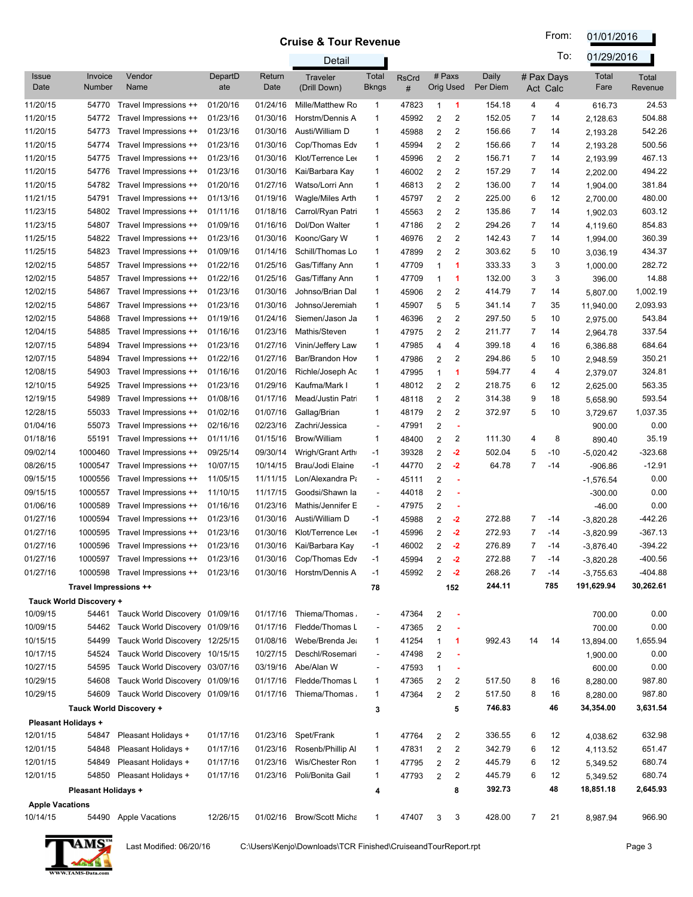From: 01/01/2016

|                        |                            |                                      |                |                | Detail                          |                              |                   |                            |                |                   |                | To:                    | 01/29/2016    |                         |
|------------------------|----------------------------|--------------------------------------|----------------|----------------|---------------------------------|------------------------------|-------------------|----------------------------|----------------|-------------------|----------------|------------------------|---------------|-------------------------|
| <b>Issue</b><br>Date   | Invoice<br>Number          | Vendor<br>Name                       | DepartD<br>ate | Return<br>Date | <b>Traveler</b><br>(Drill Down) | Total<br><b>Bkngs</b>        | <b>RsCrd</b><br># | # Paxs<br><b>Orig Used</b> |                | Daily<br>Per Diem |                | # Pax Days<br>Act Calc | Total<br>Fare | <b>Total</b><br>Revenue |
| 11/20/15               | 54770                      | Travel Impressions ++                | 01/20/16       | 01/24/16       | Mille/Matthew Ro                | 1                            | 47823             | $\mathbf{1}$               | 1              | 154.18            | 4              | 4                      | 616.73        | 24.53                   |
| 11/20/15               | 54772                      | Travel Impressions ++                | 01/23/16       | 01/30/16       | Horstm/Dennis A                 | 1                            | 45992             | 2                          | $\overline{c}$ | 152.05            | $\overline{7}$ | 14                     | 2,128.63      | 504.88                  |
| 11/20/15               | 54773                      | Travel Impressions ++                | 01/23/16       | 01/30/16       | Austi/William D                 | 1                            | 45988             | 2                          | $\overline{c}$ | 156.66            | $\overline{7}$ | 14                     | 2,193.28      | 542.26                  |
| 11/20/15               | 54774                      | Travel Impressions ++                | 01/23/16       | 01/30/16       | Cop/Thomas Edv                  | 1                            | 45994             | 2                          | $\overline{2}$ | 156.66            | $\overline{7}$ | 14                     | 2,193.28      | 500.56                  |
| 11/20/15               | 54775                      | Travel Impressions ++                | 01/23/16       | 01/30/16       | Klot/Terrence Lee               | $\mathbf{1}$                 | 45996             | 2                          | 2              | 156.71            | $\overline{7}$ | 14                     | 2,193.99      | 467.13                  |
| 11/20/15               | 54776                      | Travel Impressions ++                | 01/23/16       | 01/30/16       | Kai/Barbara Kay                 | $\mathbf{1}$                 | 46002             | 2                          | 2              | 157.29            | $\overline{7}$ | 14                     | 2,202.00      | 494.22                  |
| 11/20/15               | 54782                      | Travel Impressions ++                | 01/20/16       | 01/27/16       | Watso/Lorri Ann                 | 1                            | 46813             | 2                          | 2              | 136.00            | $\overline{7}$ | 14                     | 1,904.00      | 381.84                  |
| 11/21/15               | 54791                      | Travel Impressions ++                | 01/13/16       | 01/19/16       | Wagle/Miles Arth                | 1                            | 45797             | 2                          | $\overline{c}$ | 225.00            | 6              | 12                     | 2,700.00      | 480.00                  |
| 11/23/15               | 54802                      | Travel Impressions ++                | 01/11/16       | 01/18/16       | Carrol/Ryan Patri               | $\mathbf{1}$                 | 45563             | 2                          | $\overline{2}$ | 135.86            | $\overline{7}$ | 14                     | 1,902.03      | 603.12                  |
| 11/23/15               | 54807                      | Travel Impressions ++                | 01/09/16       | 01/16/16       | Dol/Don Walter                  | $\mathbf{1}$                 | 47186             | 2                          | $\overline{2}$ | 294.26            | $\overline{7}$ | 14                     | 4,119.60      | 854.83                  |
| 11/25/15               | 54822                      | Travel Impressions ++                | 01/23/16       | 01/30/16       | Koonc/Gary W                    | 1                            | 46976             | 2                          | $\overline{2}$ | 142.43            | $\overline{7}$ | 14                     | 1,994.00      | 360.39                  |
| 11/25/15               | 54823                      | Travel Impressions ++                | 01/09/16       | 01/14/16       | Schill/Thomas Lo                | 1                            | 47899             | $\overline{2}$             | $\overline{2}$ | 303.62            | 5              | 10                     | 3,036.19      | 434.37                  |
| 12/02/15               | 54857                      | Travel Impressions ++                | 01/22/16       | 01/25/16       | Gas/Tiffany Ann                 | 1                            | 47709             | 1                          | 1              | 333.33            | 3              | 3                      | 1,000.00      | 282.72                  |
| 12/02/15               | 54857                      | Travel Impressions ++                | 01/22/16       | 01/25/16       | Gas/Tiffany Ann                 | 1                            | 47709             | $\mathbf 1$                | 1              | 132.00            | 3              | 3                      | 396.00        | 14.88                   |
| 12/02/15               | 54867                      | Travel Impressions ++                | 01/23/16       | 01/30/16       | Johnso/Brian Dal                | 1                            | 45906             | $\overline{2}$             | $\overline{2}$ | 414.79            | $\overline{7}$ | 14                     | 5,807.00      | 1,002.19                |
| 12/02/15               | 54867                      | Travel Impressions ++                | 01/23/16       | 01/30/16       | Johnso/Jeremiah                 | 1                            | 45907             | 5                          | 5              | 341.14            | $\overline{7}$ | 35                     | 11,940.00     | 2,093.93                |
| 12/02/15               | 54868                      | Travel Impressions ++                | 01/19/16       | 01/24/16       | Siemen/Jason Ja                 | $\mathbf{1}$                 | 46396             | 2                          | $\overline{2}$ | 297.50            | 5              | 10                     | 2,975.00      | 543.84                  |
| 12/04/15               | 54885                      | Travel Impressions ++                | 01/16/16       | 01/23/16       | Mathis/Steven                   | 1                            | 47975             | $\overline{2}$             | $\overline{c}$ | 211.77            | $\overline{7}$ | 14                     | 2,964.78      | 337.54                  |
| 12/07/15               | 54894                      | Travel Impressions ++                | 01/23/16       | 01/27/16       | Vinin/Jeffery Law               | 1                            | 47985             | 4                          | 4              | 399.18            | 4              | 16                     | 6,386.88      | 684.64                  |
| 12/07/15               | 54894                      | Travel Impressions ++                | 01/22/16       | 01/27/16       | Bar/Brandon Hov                 | $\mathbf{1}$                 | 47986             | 2                          | 2              | 294.86            | 5              | 10                     | 2,948.59      | 350.21                  |
| 12/08/15               | 54903                      | Travel Impressions ++                | 01/16/16       | 01/20/16       | Richle/Joseph Ac                | $\mathbf{1}$                 | 47995             | 1                          | 1              | 594.77            | 4              | 4                      | 2,379.07      | 324.81                  |
| 12/10/15               | 54925                      | Travel Impressions ++                | 01/23/16       | 01/29/16       | Kaufma/Mark I                   | $\mathbf{1}$                 | 48012             | $\overline{2}$             | 2              | 218.75            | 6              | 12                     | 2,625.00      | 563.35                  |
| 12/19/15               | 54989                      | Travel Impressions ++                | 01/08/16       | 01/17/16       | Mead/Justin Patri               | $\mathbf{1}$                 | 48118             | $\overline{2}$             | 2              | 314.38            | 9              | 18                     | 5,658.90      | 593.54                  |
| 12/28/15               | 55033                      | Travel Impressions ++                | 01/02/16       | 01/07/16       | Gallag/Brian                    | 1                            | 48179             | $\overline{2}$             | $\overline{c}$ | 372.97            | 5              | 10                     | 3,729.67      | 1,037.35                |
| 01/04/16               | 55073                      | Travel Impressions ++                | 02/16/16       | 02/23/16       | Zachri/Jessica                  | $\overline{\phantom{a}}$     | 47991             | 2                          | ×              |                   |                |                        | 900.00        | 0.00                    |
| 01/18/16               | 55191                      | Travel Impressions ++                | 01/11/16       | 01/15/16       | <b>Brow/William</b>             | $\mathbf{1}$                 | 48400             | $\overline{2}$             | 2              | 111.30            | 4              | 8                      | 890.40        | 35.19                   |
| 09/02/14               | 1000460                    | Travel Impressions ++                | 09/25/14       | 09/30/14       | Wrigh/Grant Arth                | -1                           | 39328             | 2                          | $-2$           | 502.04            | 5              | $-10$                  | $-5,020.42$   | $-323.68$               |
| 08/26/15               | 1000547                    | Travel Impressions ++                | 10/07/15       | 10/14/15       | Brau/Jodi Elaine                | $-1$                         | 44770             | 2                          | $-2$           | 64.78             | $\overline{7}$ | -14                    | $-906.86$     | $-12.91$                |
| 09/15/15               | 1000556                    | Travel Impressions ++                | 11/05/15       | 11/11/15       | Lon/Alexandra Pa                | $\blacksquare$               | 45111             | 2                          |                |                   |                |                        | $-1,576.54$   | 0.00                    |
| 09/15/15               | 1000557                    | Travel Impressions ++                | 11/10/15       | 11/17/15       | Goodsi/Shawn la                 | $\overline{\phantom{a}}$     | 44018             | $\overline{2}$             |                |                   |                |                        | $-300.00$     | 0.00                    |
| 01/06/16               | 1000589                    | Travel Impressions ++                | 01/16/16       | 01/23/16       | Mathis/Jennifer E               | $\overline{\phantom{a}}$     | 47975             | 2                          |                |                   |                |                        | $-46.00$      | 0.00                    |
| 01/27/16               | 1000594                    | Travel Impressions ++                | 01/23/16       | 01/30/16       | Austi/William D                 | -1                           | 45988             | 2                          | $-2$           | 272.88            | $\overline{7}$ | -14                    | $-3,820.28$   | $-442.26$               |
| 01/27/16               | 1000595                    | Travel Impressions ++                | 01/23/16       | 01/30/16       | Klot/Terrence Lee               | -1                           | 45996             | 2                          | $-2$           | 272.93            | $\overline{7}$ | -14                    | $-3,820.99$   | $-367.13$               |
| 01/27/16               | 1000596                    | Travel Impressions ++                | 01/23/16       | 01/30/16       | Kai/Barbara Kay                 | $-1$                         | 46002             | 2                          | $-2$           | 276.89            | $\overline{7}$ | -14                    | $-3,876.40$   | $-394.22$               |
| 01/27/16               |                            | 1000597 Travel Impressions ++        | 01/23/16       | 01/30/16       | Cop/Thomas Edv                  | $-1$                         | 45994             | 2                          | $-2$           | 272.88            | 7              | -14                    | $-3,820.28$   | -400.56                 |
| 01/27/16               |                            | 1000598 Travel Impressions ++        | 01/23/16       |                | 01/30/16 Horstm/Dennis A        | $-1$                         | 45992             | 2                          | $-2$           | 268.26            | $\overline{7}$ | -14                    | $-3,755.63$   | $-404.88$               |
|                        | Travel Impressions ++      |                                      |                |                |                                 | 78                           |                   |                            | 152            | 244.11            |                | 785                    | 191,629.94    | 30,262.61               |
|                        | Tauck World Discovery +    |                                      |                |                |                                 |                              |                   |                            |                |                   |                |                        |               |                         |
| 10/09/15               |                            | 54461 Tauck World Discovery 01/09/16 |                | 01/17/16       | Thiema/Thomas                   |                              | 47364             | $\overline{\mathbf{c}}$    |                |                   |                |                        | 700.00        | 0.00                    |
| 10/09/15               | 54462                      | Tauck World Discovery 01/09/16       |                | 01/17/16       | Fledde/Thomas L                 | $\overline{\phantom{a}}$     | 47365             | 2                          | ٠              |                   |                |                        | 700.00        | 0.00                    |
| 10/15/15               | 54499                      | Tauck World Discovery 12/25/15       |                | 01/08/16       | Webe/Brenda Jea                 | 1                            | 41254             | 1                          | 1              | 992.43            | 14             | 14                     | 13,894.00     | 1,655.94                |
| 10/17/15               | 54524                      | Tauck World Discovery 10/15/15       |                | 10/27/15       | Deschl/Rosemari                 | $\overline{\phantom{a}}$     | 47498             | $\overline{\mathbf{c}}$    |                |                   |                |                        | 1,900.00      | 0.00                    |
| 10/27/15               | 54595                      | Tauck World Discovery 03/07/16       |                | 03/19/16       | Abe/Alan W                      | $\qquad \qquad \blacksquare$ | 47593             | 1                          |                |                   |                |                        | 600.00        | 0.00                    |
| 10/29/15               | 54608                      | Tauck World Discovery 01/09/16       |                | 01/17/16       | Fledde/Thomas L                 | 1                            | 47365             | 2                          | 2              | 517.50            | 8              | 16                     | 8,280.00      | 987.80                  |
| 10/29/15               | 54609                      | Tauck World Discovery 01/09/16       |                | 01/17/16       | Thiema/Thomas                   | 1                            | 47364             | 2                          | $\overline{c}$ | 517.50            | 8              | 16                     | 8,280.00      | 987.80                  |
|                        |                            | Tauck World Discovery +              |                |                |                                 | 3                            |                   |                            | 5              | 746.83            |                | 46                     | 34,354.00     | 3,631.54                |
|                        | <b>Pleasant Holidays +</b> |                                      |                |                |                                 |                              |                   |                            |                |                   |                |                        |               |                         |
| 12/01/15               | 54847                      | Pleasant Holidays +                  | 01/17/16       | 01/23/16       | Spet/Frank                      | 1                            | 47764             | 2                          | 2              | 336.55            | 6              | 12                     | 4,038.62      | 632.98                  |
| 12/01/15               | 54848                      | Pleasant Holidays +                  | 01/17/16       | 01/23/16       | Rosenb/Phillip Al               | 1                            | 47831             | 2                          | 2              | 342.79            | 6              | 12                     | 4,113.52      | 651.47                  |
| 12/01/15               | 54849                      | Pleasant Holidays +                  | 01/17/16       | 01/23/16       | Wis/Chester Ron                 | 1                            | 47795             | 2                          | 2              | 445.79            | 6              | 12                     | 5,349.52      | 680.74                  |
| 12/01/15               | 54850                      | Pleasant Holidays +                  | 01/17/16       | 01/23/16       | Poli/Bonita Gail                | 1                            | 47793             | 2                          | $\overline{2}$ | 445.79            | 6              | 12                     | 5,349.52      | 680.74                  |
|                        | <b>Pleasant Holidays +</b> |                                      |                |                |                                 | 4                            |                   |                            | 8              | 392.73            |                | 48                     | 18,851.18     | 2,645.93                |
| <b>Apple Vacations</b> |                            |                                      |                |                |                                 |                              |                   |                            |                |                   |                |                        |               |                         |
| 10/14/15               |                            | 54490 Apple Vacations                | 12/26/15       | 01/02/16       | <b>Brow/Scott Micha</b>         | 1                            | 47407             | 3                          | 3              | 428.00            | $\overline{7}$ | 21                     | 8,987.94      | 966.90                  |

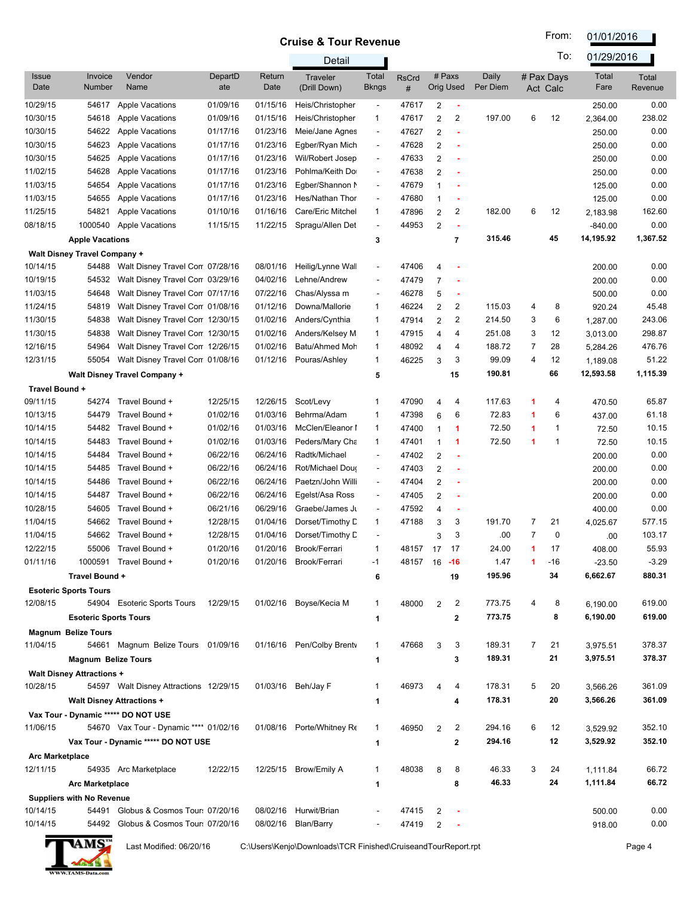From: 01/01/2016

|                        |                                     |                                        |                |                | Detail                    |                          |                     |                |                |                   |                | To:                    | 01/29/2016    |                         |
|------------------------|-------------------------------------|----------------------------------------|----------------|----------------|---------------------------|--------------------------|---------------------|----------------|----------------|-------------------|----------------|------------------------|---------------|-------------------------|
| <b>Issue</b><br>Date   | Invoice<br>Number                   | Vendor<br>Name                         | DepartD<br>ate | Return<br>Date | Traveler<br>(Drill Down)  | Total<br><b>Bkngs</b>    | <b>RsCrd</b><br>#   | # Paxs         | Orig Used      | Daily<br>Per Diem |                | # Pax Days<br>Act Calc | Total<br>Fare | <b>Total</b><br>Revenue |
| 10/29/15               | 54617                               | <b>Apple Vacations</b>                 | 01/09/16       | 01/15/16       | Heis/Christopher          | $\overline{\phantom{a}}$ | 47617               | 2              | ×              |                   |                |                        | 250.00        | 0.00                    |
| 10/30/15               | 54618                               | <b>Apple Vacations</b>                 | 01/09/16       | 01/15/16       | Heis/Christopher          | 1                        | 47617               | $\overline{2}$ | 2              | 197.00            | 6              | 12                     | 2,364.00      | 238.02                  |
| 10/30/15               | 54622                               | <b>Apple Vacations</b>                 | 01/17/16       | 01/23/16       | Meie/Jane Agnes           | $\blacksquare$           | 47627               | 2              | ä,             |                   |                |                        | 250.00        | 0.00                    |
| 10/30/15               | 54623                               | <b>Apple Vacations</b>                 | 01/17/16       | 01/23/16       | Egber/Ryan Mich           | $\overline{\phantom{a}}$ | 47628               | 2              |                |                   |                |                        | 250.00        | 0.00                    |
| 10/30/15               | 54625                               | <b>Apple Vacations</b>                 | 01/17/16       | 01/23/16       | Wil/Robert Josep          | $\overline{\phantom{a}}$ | 47633               | $\overline{2}$ |                |                   |                |                        | 250.00        | 0.00                    |
| 11/02/15               | 54628                               | <b>Apple Vacations</b>                 | 01/17/16       | 01/23/16       | Pohlma/Keith Do           | $\blacksquare$           | 47638               | $\overline{2}$ |                |                   |                |                        | 250.00        | 0.00                    |
| 11/03/15               | 54654                               | <b>Apple Vacations</b>                 | 01/17/16       | 01/23/16       | Egber/Shannon M           | $\blacksquare$           | 47679               | 1              |                |                   |                |                        | 125.00        | 0.00                    |
| 11/03/15               | 54655                               | <b>Apple Vacations</b>                 | 01/17/16       | 01/23/16       | Hes/Nathan Thor           | $\overline{a}$           | 47680               | 1              |                |                   |                |                        | 125.00        | 0.00                    |
| 11/25/15               | 54821                               | <b>Apple Vacations</b>                 | 01/10/16       | 01/16/16       | Care/Eric Mitchel         | $\mathbf{1}$             | 47896               | 2              | $\overline{2}$ | 182.00            | 6              | 12                     | 2,183.98      | 162.60                  |
| 08/18/15               | 1000540                             | <b>Apple Vacations</b>                 | 11/15/15       | 11/22/15       | Spragu/Allen Det          | $\overline{a}$           | 44953               | $\overline{2}$ |                |                   |                |                        | $-840.00$     | 0.00                    |
|                        | <b>Apple Vacations</b>              |                                        |                |                |                           | 3                        |                     |                | 7              | 315.46            |                | 45                     | 14,195.92     | 1,367.52                |
|                        | <b>Walt Disney Travel Company +</b> |                                        |                |                |                           |                          |                     |                |                |                   |                |                        |               |                         |
| 10/14/15               | 54488                               | Walt Disney Travel Con 07/28/16        |                | 08/01/16       | Heilig/Lynne Wall         | $\overline{\phantom{a}}$ | 47406               | 4              |                |                   |                |                        | 200.00        | 0.00                    |
| 10/19/15               | 54532                               | Walt Disney Travel Con 03/29/16        |                | 04/02/16       | Lehne/Andrew              | ä,                       | 47479               | $\overline{7}$ |                |                   |                |                        | 200.00        | 0.00                    |
| 11/03/15               | 54648                               | Walt Disney Travel Con 07/17/16        |                | 07/22/16       | Chas/Alyssa m             | $\overline{a}$           | 46278               | 5              | ٠              |                   |                |                        | 500.00        | 0.00                    |
| 11/24/15               | 54819                               | Walt Disney Travel Con 01/08/16        |                | 01/12/16       | Downa/Mallorie            | $\mathbf{1}$             | 46224               | $\overline{2}$ | $\overline{2}$ | 115.03            | 4              | 8                      | 920.24        | 45.48                   |
| 11/30/15               | 54838                               | Walt Disney Travel Con 12/30/15        |                | 01/02/16       | Anders/Cynthia            | 1                        | 47914               | $\overline{2}$ | 2              | 214.50            | 3              | 6                      | 1,287.00      | 243.06                  |
| 11/30/15               | 54838                               | Walt Disney Travel Con 12/30/15        |                | 01/02/16       | Anders/Kelsey M           | 1                        | 47915               | 4              | 4              | 251.08            | 3              | 12                     | 3,013.00      | 298.87                  |
| 12/16/15               | 54964                               | Walt Disney Travel Con 12/26/15        |                | 01/02/16       | Batu/Ahmed Moh            | $\mathbf{1}$             | 48092               | 4              | 4              | 188.72            | $\overline{7}$ | 28                     | 5,284.26      | 476.76                  |
| 12/31/15               | 55054                               | Walt Disney Travel Con 01/08/16        |                | 01/12/16       | Pouras/Ashley             | $\mathbf{1}$             | 46225               | 3              | 3              | 99.09             | 4              | 12                     | 1,189.08      | 51.22                   |
|                        |                                     | Walt Disney Travel Company +           |                |                |                           | 5                        |                     |                | 15             | 190.81            |                | 66                     | 12,593.58     | 1,115.39                |
| Travel Bound +         |                                     |                                        |                |                |                           |                          |                     |                |                |                   |                |                        |               |                         |
| 09/11/15               | 54274                               | Travel Bound +                         | 12/25/15       | 12/26/15       | Scot/Levy                 | 1                        | 47090               | 4              | 4              | 117.63            | 1              | 4                      | 470.50        | 65.87                   |
| 10/13/15               | 54479                               | Travel Bound +                         | 01/02/16       | 01/03/16       | Behrma/Adam               | 1                        | 47398               | 6              | 6              | 72.83             | 1              | 6                      | 437.00        | 61.18                   |
| 10/14/15               | 54482                               | Travel Bound +                         | 01/02/16       | 01/03/16       | McClen/Eleanor I          | $\mathbf{1}$             | 47400               | 1              | 1              | 72.50             | 1              | $\mathbf 1$            | 72.50         | 10.15                   |
| 10/14/15               | 54483                               | Travel Bound +                         | 01/02/16       | 01/03/16       | Peders/Mary Cha           | $\mathbf{1}$             | 47401               | 1              | 1              | 72.50             | 1              | $\mathbf 1$            | 72.50         | 10.15                   |
| 10/14/15               | 54484                               | Travel Bound +                         | 06/22/16       | 06/24/16       | Radtk/Michael             | $\blacksquare$           | 47402               | $\overline{2}$ | ä,             |                   |                |                        | 200.00        | 0.00                    |
| 10/14/15               | 54485                               | Travel Bound +                         | 06/22/16       | 06/24/16       | Rot/Michael Dour          | $\blacksquare$           | 47403               | $\overline{2}$ | ÷              |                   |                |                        | 200.00        | 0.00                    |
| 10/14/15               | 54486                               | Travel Bound +                         | 06/22/16       | 06/24/16       | Paetzn/John Willi         | $\overline{\phantom{a}}$ | 47404               | $\overline{2}$ | ä,             |                   |                |                        | 200.00        | 0.00                    |
| 10/14/15               | 54487                               | Travel Bound +                         | 06/22/16       | 06/24/16       | Egelst/Asa Ross           | $\blacksquare$           | 47405               | $\overline{2}$ | ÷              |                   |                |                        | 200.00        | 0.00                    |
| 10/28/15               | 54605                               | Travel Bound +                         | 06/21/16       | 06/29/16       | Graebe/James Ju           | $\blacksquare$           | 47592               | 4              | ×              |                   |                |                        | 400.00        | 0.00                    |
| 11/04/15               | 54662                               | Travel Bound +                         | 12/28/15       | 01/04/16       | Dorset/Timothy D          | $\mathbf{1}$             | 47188               | 3              | 3              | 191.70            | 7              | 21                     | 4,025.67      | 577.15                  |
| 11/04/15               | 54662                               | Travel Bound +                         | 12/28/15       | 01/04/16       | Dorset/Timothy D          | $\overline{\phantom{a}}$ |                     | 3              | 3              | .00               | $\overline{7}$ | $\mathbf 0$            | .00           | 103.17                  |
| 12/22/15               | 55006                               | Travel Bound +                         | 01/20/16       | 01/20/16       | Brook/Ferrari             | 1                        | 48157               | 17             | 17             | 24.00             | 1              | 17                     | 408.00        | 55.93                   |
| 01/11/16               |                                     | 1000591 Travel Bound +                 | 01/20/16       |                | 01/20/16 Brook/Ferrari    | -1                       | 48157 16 <b>-16</b> |                |                | 1.47              | 1              | $-16$                  | $-23.50$      | $-3.29$                 |
|                        | Travel Bound +                      |                                        |                |                |                           | 6                        |                     |                | 19             | 195.96            |                | 34                     | 6,662.67      | 880.31                  |
|                        | <b>Esoteric Sports Tours</b>        |                                        |                |                |                           |                          |                     |                |                |                   |                |                        |               |                         |
| 12/08/15               |                                     | 54904 Esoteric Sports Tours            | 12/29/15       |                | 01/02/16 Boyse/Kecia M    | 1                        | 48000               | 2              | 2              | 773.75            | 4              | 8                      | 6,190.00      | 619.00                  |
|                        | <b>Esoteric Sports Tours</b>        |                                        |                |                |                           | 1                        |                     |                | 2              | 773.75            |                | 8                      | 6,190.00      | 619.00                  |
|                        | <b>Magnum Belize Tours</b>          |                                        |                |                |                           |                          |                     |                |                |                   |                |                        |               |                         |
| 11/04/15               |                                     | 54661 Magnum Belize Tours 01/09/16     |                |                | 01/16/16 Pen/Colby Brenty | 1                        | 47668               | 3              | 3              | 189.31            | 7              | 21                     | 3,975.51      | 378.37                  |
|                        | <b>Magnum Belize Tours</b>          |                                        |                |                |                           | 1                        |                     |                | 3              | 189.31            |                | 21                     | 3,975.51      | 378.37                  |
|                        | <b>Walt Disney Attractions +</b>    |                                        |                |                |                           |                          |                     |                |                |                   |                |                        |               |                         |
| 10/28/15               |                                     | 54597 Walt Disney Attractions 12/29/15 |                |                | 01/03/16 Beh/Jay F        | 1                        | 46973               | 4              | 4              | 178.31            | 5              | 20                     | 3,566.26      | 361.09                  |
|                        |                                     | <b>Walt Disney Attractions +</b>       |                |                |                           | 1                        |                     |                | 4              | 178.31            |                | 20                     | 3,566.26      | 361.09                  |
|                        |                                     | Vax Tour - Dynamic ***** DO NOT USE    |                |                |                           |                          |                     |                |                |                   |                |                        |               |                         |
| 11/06/15               |                                     | 54670 Vax Tour - Dynamic **** 01/02/16 |                |                | 01/08/16 Porte/Whitney Re | 1                        | 46950               | 2              | 2              | 294.16            | 6              | 12                     | 3,529.92      | 352.10                  |
|                        |                                     | Vax Tour - Dynamic ***** DO NOT USE    |                |                |                           | 1                        |                     |                | 2              | 294.16            |                | 12                     | 3,529.92      | 352.10                  |
| <b>Arc Marketplace</b> |                                     |                                        |                |                |                           |                          |                     |                |                |                   |                |                        |               |                         |
| 12/11/15               |                                     | 54935 Arc Marketplace                  | 12/22/15       |                | 12/25/15 Brow/Emily A     | 1                        | 48038               | 8              | 8              | 46.33             | 3              | 24                     | 1,111.84      | 66.72                   |
|                        | <b>Arc Marketplace</b>              |                                        |                |                |                           | 1                        |                     |                | 8              | 46.33             |                | 24                     | 1,111.84      | 66.72                   |
|                        | <b>Suppliers with No Revenue</b>    |                                        |                |                |                           |                          |                     |                |                |                   |                |                        |               |                         |
| 10/14/15               |                                     | 54491 Globus & Cosmos Tour: 07/20/16   |                |                | 08/02/16 Hurwit/Brian     |                          | 47415               | 2              |                |                   |                |                        | 500.00        | 0.00                    |
| 10/14/15               | 54492                               | Globus & Cosmos Tour: 07/20/16         |                |                | 08/02/16 Blan/Barry       |                          | 47419               | 2              |                |                   |                |                        | 918.00        | 0.00                    |